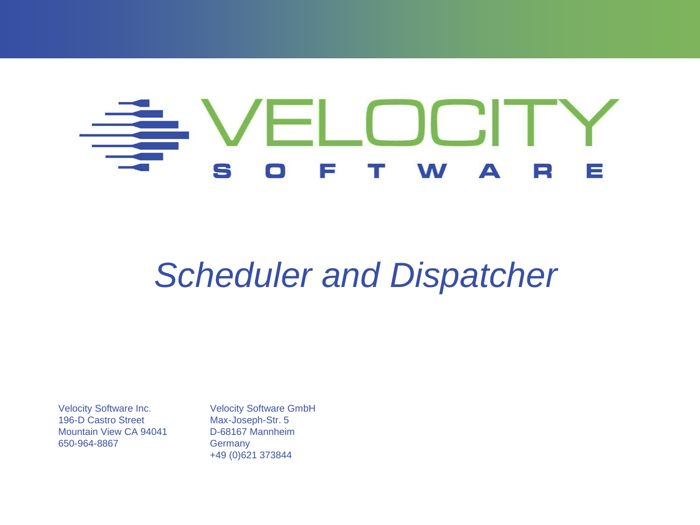#### LOCIT S  $\blacktriangle$  $\Box$  $\equiv$ II S W

# *Scheduler and Dispatcher*

Velocity Software Inc. 196-D Castro Street Mountain View CA 94041 650-964-8867

Velocity Software GmbH Max-Joseph-Str. 5 D-68167 Mannheim **Germany** +49 (0)621 373844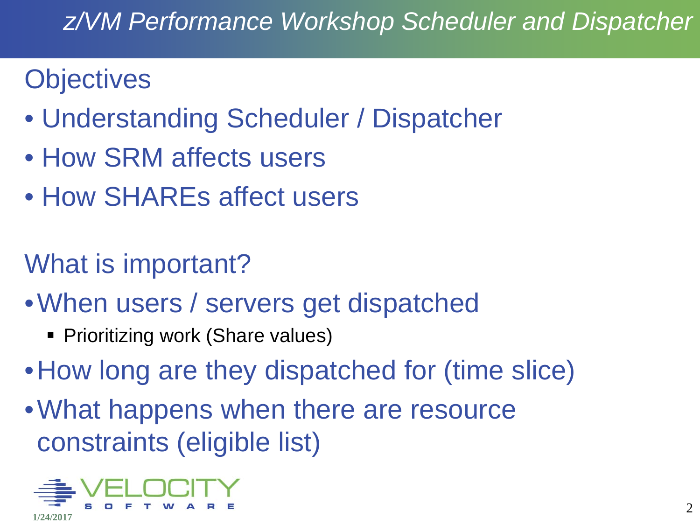#### *z/VM Performance Workshop Scheduler and Dispatcher*

### **Objectives**

- Understanding Scheduler / Dispatcher
- How SRM affects users
- How SHAREs affect users
- What is important?
- •When users / servers get dispatched
	- **Prioritizing work (Share values)**
- How long are they dispatched for (time slice)
- What happens when there are resource constraints (eligible list)

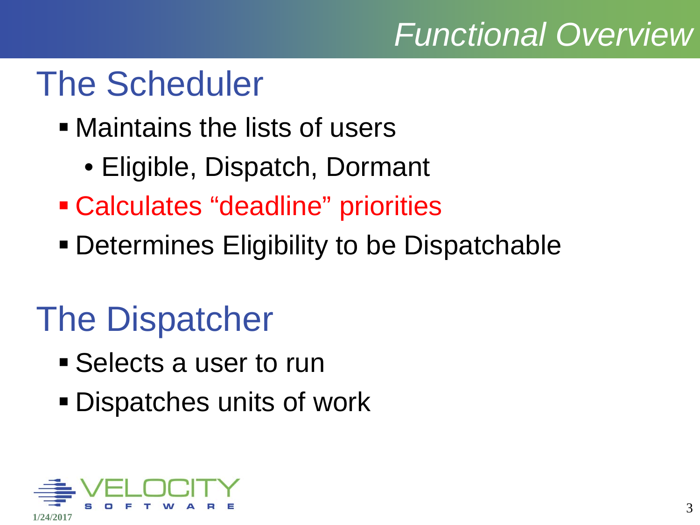### *Functional Overview*

# The Scheduler

- Maintains the lists of users
	- Eligible, Dispatch, Dormant
- Calculates "deadline" priorities
- Determines Eligibility to be Dispatchable

# The Dispatcher

- **Selects a user to run**
- Dispatches units of work

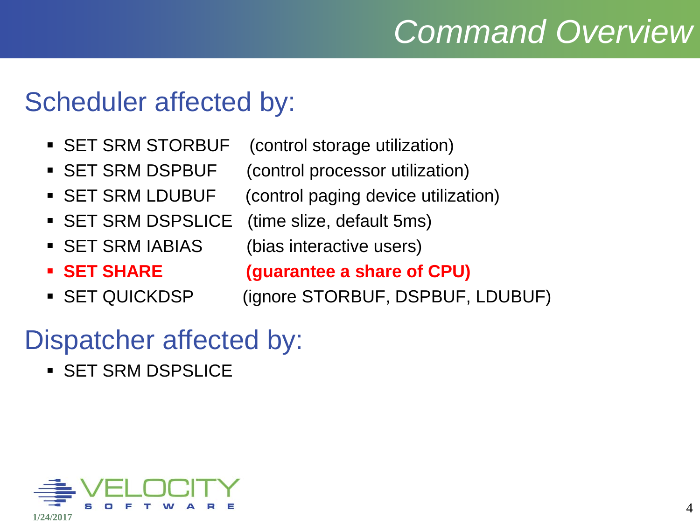# *Command Overview*

#### Scheduler affected by:

- SET SRM STORBUF (control storage utilization)
- SET SRM DSPBUF (control processor utilization)
- SET SRM LDUBUF (control paging device utilization)
- SET SRM DSPSLICE (time slize, default 5ms)
- SET SRM IABIAS (bias interactive users)
- 
- 

**SET SHARE (guarantee a share of CPU)**

SET QUICKDSP (ignore STORBUF, DSPBUF, LDUBUF)

#### Dispatcher affected by:

**SET SRM DSPSLICE** 

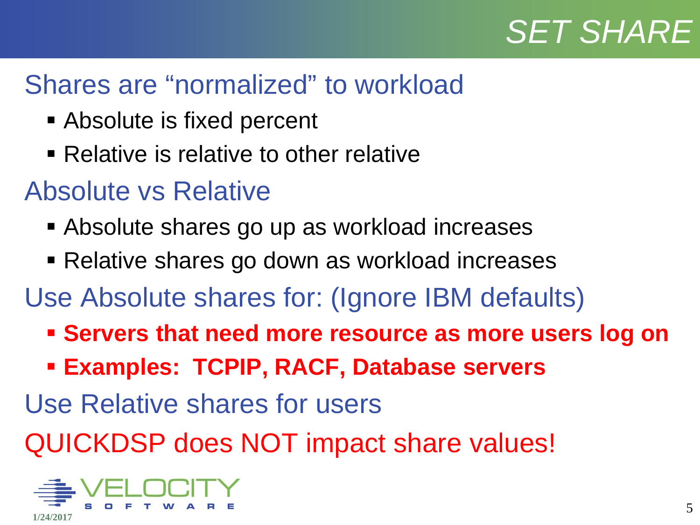### *SET SHARE*

#### Shares are "normalized" to workload

- Absolute is fixed percent
- Relative is relative to other relative

#### Absolute vs Relative

- Absolute shares go up as workload increases
- Relative shares go down as workload increases
- Use Absolute shares for: (Ignore IBM defaults)
	- **Servers that need more resource as more users log on**
	- **Examples: TCPIP, RACF, Database servers**
- Use Relative shares for users
- QUICKDSP does NOT impact share values!

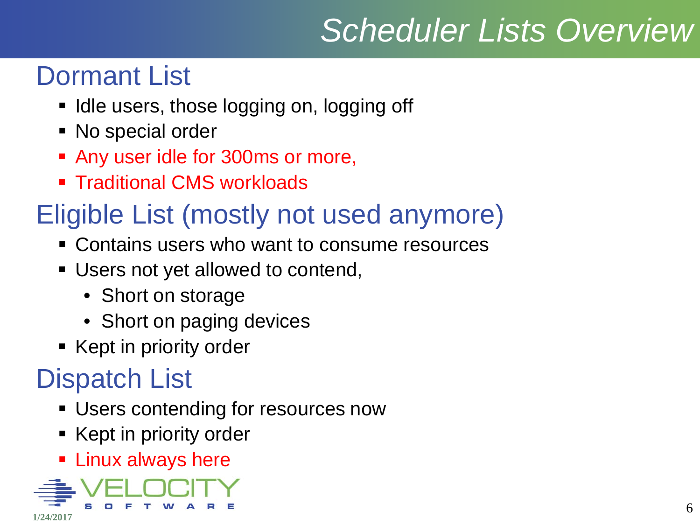# *Scheduler Lists Overview*

### Dormant List

- I ldle users, those logging on, logging off
- No special order
- **Any user idle for 300ms or more,**
- **Traditional CMS workloads**

### Eligible List (mostly not used anymore)

- **EX Contains users who want to consume resources**
- Users not yet allowed to contend,
	- Short on storage
	- Short on paging devices
- Kept in priority order

### Dispatch List

- Users contending for resources now
- Kept in priority order
- **Linux always here**

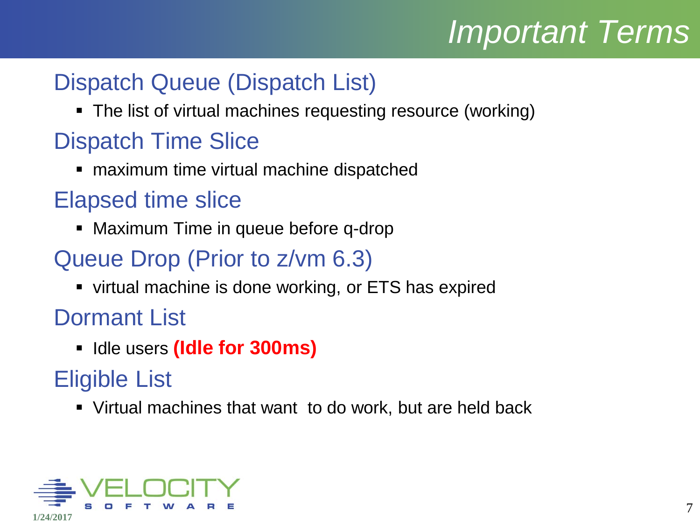# *Important Terms*

#### Dispatch Queue (Dispatch List)

The list of virtual machines requesting resource (working)

#### Dispatch Time Slice

**naximum time virtual machine dispatched** 

#### Elapsed time slice

• Maximum Time in queue before q-drop

#### Queue Drop (Prior to z/vm 6.3)

**virtual machine is done working, or ETS has expired** 

Dormant List

**IDED 19 Idle for 300ms)** 

#### Eligible List

Virtual machines that want to do work, but are held back

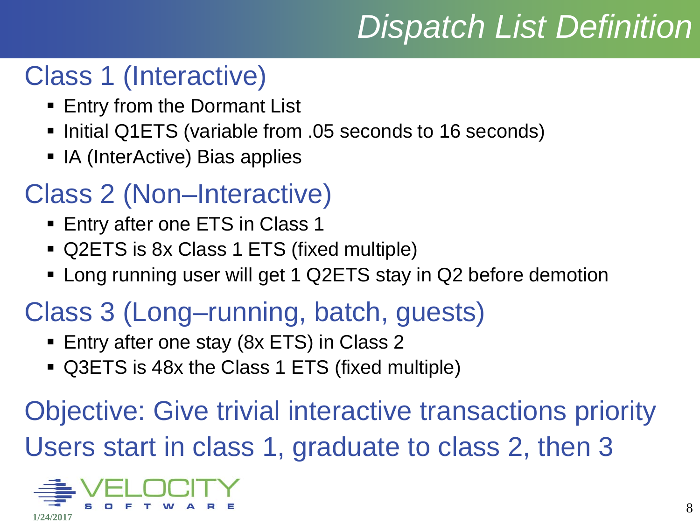# *Dispatch List Definition*

#### Class 1 (Interactive)

- **Entry from the Dormant List**
- Initial Q1ETS (variable from .05 seconds to 16 seconds)
- IA (InterActive) Bias applies

### Class 2 (Non–Interactive)

- **Entry after one ETS in Class 1**
- Q2ETS is 8x Class 1 ETS (fixed multiple)
- Long running user will get 1 Q2ETS stay in Q2 before demotion

### Class 3 (Long–running, batch, guests)

- **Entry after one stay (8x ETS) in Class 2**
- Q3ETS is 48x the Class 1 ETS (fixed multiple)

Objective: Give trivial interactive transactions priority Users start in class 1, graduate to class 2, then 3

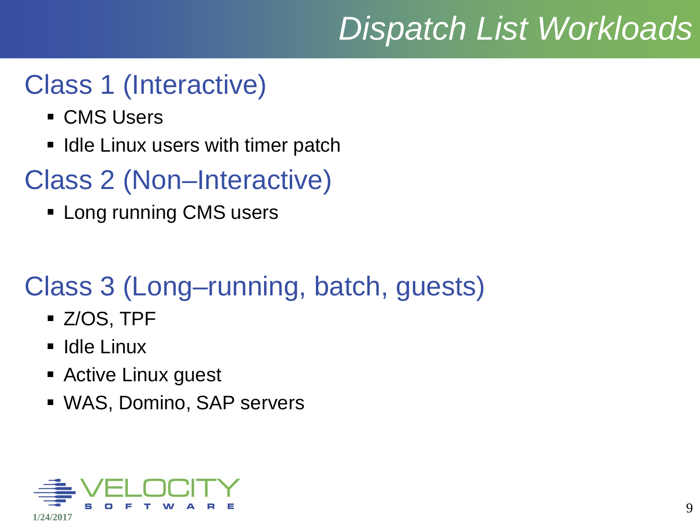# *Dispatch List Workloads*

#### Class 1 (Interactive)

- **CMS Users**
- **If** Idle Linux users with timer patch

### Class 2 (Non–Interactive)

**Long running CMS users** 

### Class 3 (Long–running, batch, guests)

- Z/OS, TPF
- $\blacksquare$ Idle Linux
- **Active Linux guest**
- WAS, Domino, SAP servers

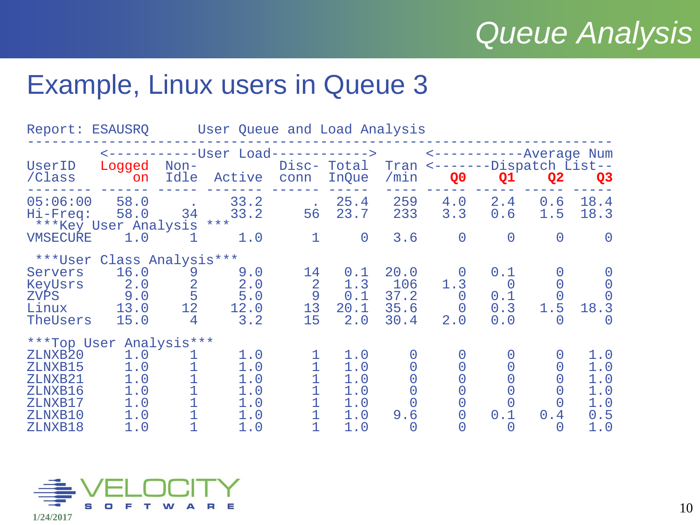### *Queue Analysis*

#### Example, Linux users in Queue 3

|                                                                           | Report: ESAUSRQ User Queue and Load Analysis                             |                                                               |                                                    |                                       |                                               |                                       |                                                            |                                            |                                     |                                               |
|---------------------------------------------------------------------------|--------------------------------------------------------------------------|---------------------------------------------------------------|----------------------------------------------------|---------------------------------------|-----------------------------------------------|---------------------------------------|------------------------------------------------------------|--------------------------------------------|-------------------------------------|-----------------------------------------------|
| UserID<br>/Class                                                          | Logged<br>on                                                             | $Non-$                                                        | <------------User Load------------><br>Idle Active | conn                                  | Disc- Total<br>InQue                          | /min                                  | Tran <-------Dispatch List--<br>Q <sub>0</sub>             | <------------Average Num<br>Q1             | Q <sub>2</sub>                      | Q <sub>3</sub>                                |
| 05:06:00<br>Hi-Freq:                                                      | 58.0<br>58.0<br>*** Key User Analysis ***                                | 34                                                            | 33.2<br>33.2                                       | <b>Contract</b><br>56                 | 25.4<br>23.7                                  | 259<br>233                            | $4 \, . \, 0$<br>3.3                                       | 2.4<br>0.6                                 | 0.6<br>1.5                          | 18.4<br>18.3                                  |
| <b>VMSECURE</b>                                                           | 1.0                                                                      | 1                                                             | 1.0                                                | $\mathbf{1}$                          | $\overline{0}$                                | 3.6                                   | $\overline{0}$                                             | $\overline{0}$                             | $\overline{0}$                      | $\overline{0}$                                |
| Servers<br>KeyUsrs<br><b>ZVPS</b><br>Linux<br>TheUsers                    | ***User Class Analysis***<br>16.0<br>2.0<br>9.0<br>13.0<br>15.0          | 9<br>$\overline{2}$<br>5<br>12 <sup>°</sup><br>$\overline{4}$ | 9.0<br>2.0<br>5.0<br>12.0<br>3.2                   | 14<br>2<br>9<br>13 <sup>°</sup><br>15 | 0.1<br>1.3<br>0.1<br>20.1<br>2.0              | 20.0<br>106<br>37.2<br>35.6<br>30.4   | $\Omega$<br>1.3<br>$\overline{0}$<br>$\overline{0}$<br>2.0 | 0.1<br>$\overline{0}$<br>0.1<br>0.3<br>0.0 | 1.5<br>$\left( \right)$             | $\Omega$<br>18.3<br>$\bigcap$                 |
| ZLNXB20<br>ZLNXB15<br>ZLNXB21<br>ZLNXB16<br>ZLNXB17<br>ZLNXB10<br>ZLNXB18 | ***Top User Analysis***<br>1.0<br>1.0<br>1.0<br>1.0<br>1.0<br>1.0<br>1.0 | Τ<br>$\mathbf 1$<br>$\mathbf 1$                               | 1.0<br>1.0<br>1.0<br>1.0<br>1.0<br>1.0<br>1.0      | 1<br>1                                | 1.0<br>1.0<br>1.0<br>1.0<br>1.0<br>1.0<br>1.0 | $\cup$<br>$\Omega$<br>$\Omega$<br>9.6 | $\Omega$<br>$\Omega$<br>$\overline{0}$<br>$\overline{0}$   | 0.1<br>$\left( \right)$                    | 0<br>$\Omega$<br>O<br>0.4<br>$\cup$ | 1.0<br>1.0<br>1.0<br>1.0<br>1.0<br>0.5<br>1.0 |

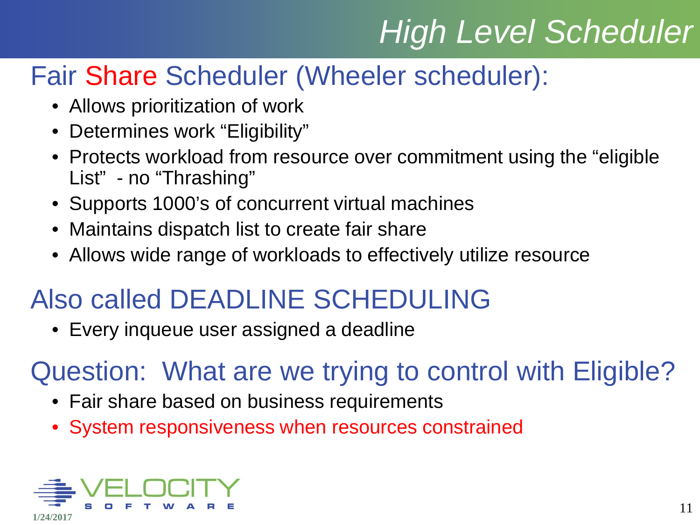# *High Level Scheduler*

### Fair Share Scheduler (Wheeler scheduler):

- Allows prioritization of work
- Determines work "Eligibility"
- Protects workload from resource over commitment using the "eligible List" - no "Thrashing"
- Supports 1000's of concurrent virtual machines
- Maintains dispatch list to create fair share
- Allows wide range of workloads to effectively utilize resource

### Also called DEADLINE SCHEDULING

• Every inqueue user assigned a deadline

### Question: What are we trying to control with Eligible?

- Fair share based on business requirements
- System responsiveness when resources constrained

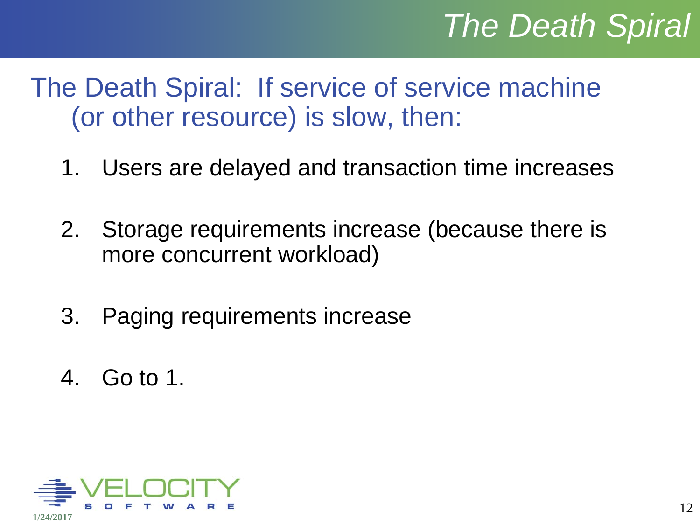# *The Death Spiral*

- The Death Spiral: If service of service machine (or other resource) is slow, then:
	- 1. Users are delayed and transaction time increases
	- 2. Storage requirements increase (because there is more concurrent workload)
	- 3. Paging requirements increase
	- 4. Go to 1.

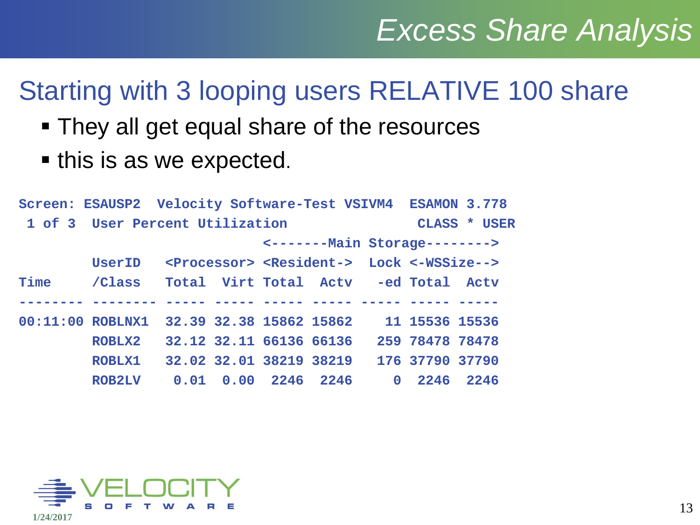#### Starting with 3 looping users RELATIVE 100 share

- They all get equal share of the resources
- this is as we expected.

|      | Screen: ESAUSP2 Velocity Software-Test VSIVM4 ESAMON 3.778 |                                                                        |                     |                                      |                 |              |
|------|------------------------------------------------------------|------------------------------------------------------------------------|---------------------|--------------------------------------|-----------------|--------------|
|      | 1 of 3 User Percent Utilization                            |                                                                        |                     |                                      |                 | CLASS * USER |
|      |                                                            |                                                                        |                     | <-------- Main Storage-------->      |                 |              |
|      | UserID                                                     | <processor> <resident-> Lock &lt;-WSSize--&gt;</resident-></processor> |                     |                                      |                 |              |
| Time | /Class                                                     |                                                                        |                     | Total Virt Total Actv -ed Total Actv |                 |              |
|      |                                                            |                                                                        |                     |                                      |                 |              |
|      | 00:11:00 ROBLNX1 32.39 32.38 15862 15862                   |                                                                        |                     |                                      | 11 15536 15536  |              |
|      | ROBLX2                                                     | 32.12 32.11 66136 66136                                                |                     |                                      | 259 78478 78478 |              |
|      | <b>ROBLX1</b>                                              | 32.02 32.01 38219 38219                                                |                     |                                      | 176 37790 37790 |              |
|      | <b>ROB2LV</b>                                              |                                                                        | 0.01 0.00 2246 2246 |                                      | 0 2246 2246     |              |

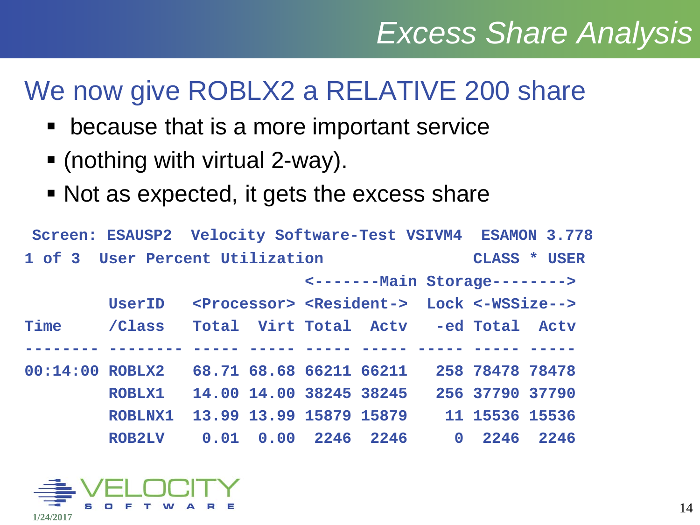### We now give ROBLX2 a RELATIVE 200 share

- because that is a more important service
- (nothing with virtual 2-way).
- Not as expected, it gets the excess share

```
Screen: ESAUSP2 Velocity Software-Test VSIVM4 ESAMON 3.778
1 of 3 User Percent Utilization CLASS * USER
                            <-------Main Storage--------> 
         UserID <Processor> <Resident-> Lock <-WSSize--> 
Time /Class Total Virt Total Actv -ed Total Actv 
-------- -------- ----- ----- ----- ----- ----- ----- -----
00:14:00 ROBLX2 68.71 68.68 66211 66211 258 78478 78478 
         ROBLX1 14.00 14.00 38245 38245 256 37790 37790 
         ROBLNX1 13.99 13.99 15879 15879 11 15536 15536 
         ROB2LV 0.01 0.00 2246 2246 0 2246 2246
```
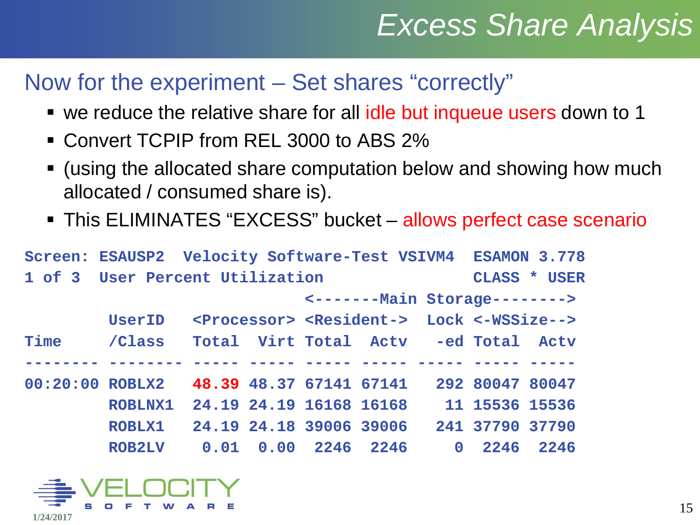#### Now for the experiment – Set shares "correctly"

- we reduce the relative share for all idle but inqueue users down to 1
- Convert TCPIP from REL 3000 to ABS 2%
- (using the allocated share computation below and showing how much allocated / consumed share is).
- This ELIMINATES "EXCESS" bucket allows perfect case scenario

| Screen: ESAUSP2 Velocity Software-Test VSIVM4 ESAMON 3.778 |                             |  |                                                                        |                 |              |
|------------------------------------------------------------|-----------------------------|--|------------------------------------------------------------------------|-----------------|--------------|
| 1 of 3 User Percent Utilization                            |                             |  |                                                                        |                 | CLASS * USER |
|                                                            |                             |  | <-------- Main Storage-------->                                        |                 |              |
| UserID                                                     |                             |  | <processor> <resident-> Lock &lt;-WSSize--&gt;</resident-></processor> |                 |              |
| Time / Class Total Virt Total Actv -ed Total Actv          |                             |  |                                                                        |                 |              |
|                                                            |                             |  |                                                                        |                 |              |
| 00:20:00 ROBLX2 48.39 48.37 67141 67141 292 80047 80047    |                             |  |                                                                        |                 |              |
| ROBLNX1 24.19 24.19 16168 16168                            |                             |  |                                                                        | 11 15536 15536  |              |
| ROBLX1                                                     | 24.19 24.18 39006 39006     |  |                                                                        | 241 37790 37790 |              |
| <b>ROB2LV</b>                                              | $0.01$ $0.00$ $2246$ $2246$ |  |                                                                        | 0 2246 2246     |              |

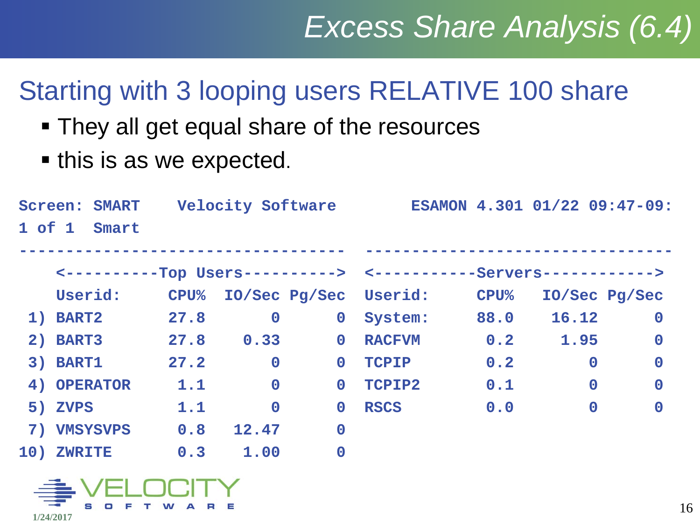### Starting with 3 looping users RELATIVE 100 share

- They all get equal share of the resources
- **this is as we expected.**

| <b>Screen: SMART</b> |      |             |                       |               |                       |             |                                                                                                                                      |
|----------------------|------|-------------|-----------------------|---------------|-----------------------|-------------|--------------------------------------------------------------------------------------------------------------------------------------|
| $1$ of $1$<br>Smart  |      |             |                       |               |                       |             |                                                                                                                                      |
|                      |      |             |                       |               |                       |             |                                                                                                                                      |
|                      |      |             |                       |               |                       |             |                                                                                                                                      |
| Userid:              |      |             |                       |               | $\mathbf{CPU}$ %      |             |                                                                                                                                      |
| 1) BART2             | 27.8 | $\mathbf 0$ | $\mathbf 0$           | System:       | 88.0                  | 16.12       | $\mathbf 0$                                                                                                                          |
| 2) BART3             |      |             | $\mathbf 0$           | <b>RACFVM</b> | 0.2                   | 1.95        | $\mathbf 0$                                                                                                                          |
| 3) BART1             | 27.2 | $\mathbf 0$ | $\mathbf 0$           | <b>TCPIP</b>  | 0.2                   | $\mathbf 0$ | $\mathbf 0$                                                                                                                          |
| 4) OPERATOR          | 1.1  | $\mathbf 0$ | $\mathbf{O}$          | TCPIP2        | 0.1                   | $\mathbf 0$ | $\mathbf 0$                                                                                                                          |
| 5) ZVPS              | 1.1  | $\mathbf 0$ | $\mathbf{O}$          | <b>RSCS</b>   | 0.0                   | $\mathbf 0$ | $\bf{0}$                                                                                                                             |
| 7) VMSYSVPS          | 0.8  | 12.47       | $\mathbf 0$           |               |                       |             |                                                                                                                                      |
| 10) ZWRITE           | 0.3  | 1.00        | $\mathbf 0$           |               |                       |             |                                                                                                                                      |
|                      |      | 27.8        | ${\bf CPU\%}$<br>0.33 |               | IO/Sec Pg/Sec Userid: |             | Velocity Software ESAMON 4.301 01/22 09:47-09:<br><-----------Top Users----------> <-----------Servers------------><br>IO/Sec Pg/Sec |

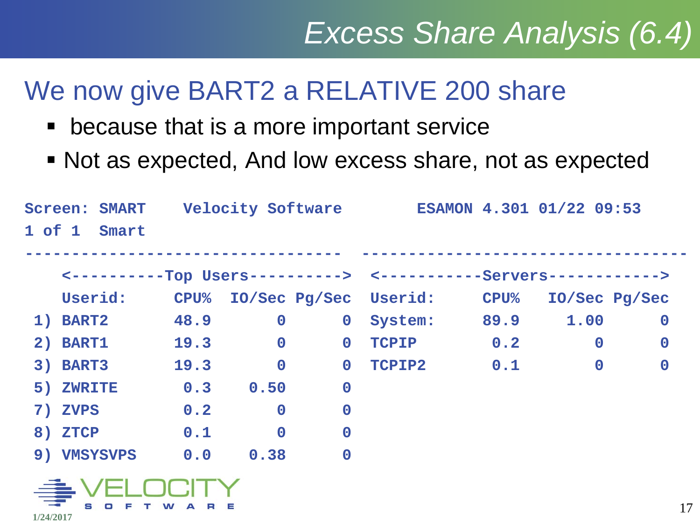### We now give BART2 a RELATIVE 200 share

- because that is a more important service
- Not as expected, And low excess share, not as expected

|            | <b>Screen: SMART</b>                                              |      |                |                  | Velocity Software Tesamon 4.301 01/22 09:53 |      |               |                  |
|------------|-------------------------------------------------------------------|------|----------------|------------------|---------------------------------------------|------|---------------|------------------|
| $1$ of $1$ | Smart                                                             |      |                |                  |                                             |      |               |                  |
|            |                                                                   |      |                |                  |                                             |      |               |                  |
|            | <-----------Top Users----------> <-----------Servers------------> |      |                |                  |                                             |      |               |                  |
|            | Userid:                                                           |      |                |                  | CPU% IO/Sec Pg/Sec Userid: CPU%             |      | IO/Sec Pg/Sec |                  |
|            | 1) BART2                                                          | 48.9 | $\mathbf 0$    | $\mathbf 0$      | System:                                     | 89.9 | 1.00          | $\mathbf 0$      |
|            | 2) BART1                                                          | 19.3 | $\overline{0}$ | $\mathbf 0$      | <b>TCPIP</b>                                | 0.2  | $\mathbf 0$   | $\boldsymbol{0}$ |
|            | 3) BART3                                                          | 19.3 | $\overline{0}$ | $\mathbf 0$      | TCPIP2                                      | 0.1  | $\mathbf 0$   | $\mathbf 0$      |
|            | 5) ZWRITE                                                         | 0.3  | 0.50           | $\mathbf 0$      |                                             |      |               |                  |
|            | 7) ZVPS                                                           | 0.2  | $\mathbf 0$    | $\mathbf 0$      |                                             |      |               |                  |
|            | 8) ZTCP                                                           | 0.1  | $\mathbf 0$    | $\boldsymbol{0}$ |                                             |      |               |                  |
|            | 9) VMSYSVPS                                                       |      | 0.0 0.38       | $\mathbf 0$      |                                             |      |               |                  |
|            | $\geq$ $\sqrt{2}$                                                 |      |                |                  |                                             |      |               |                  |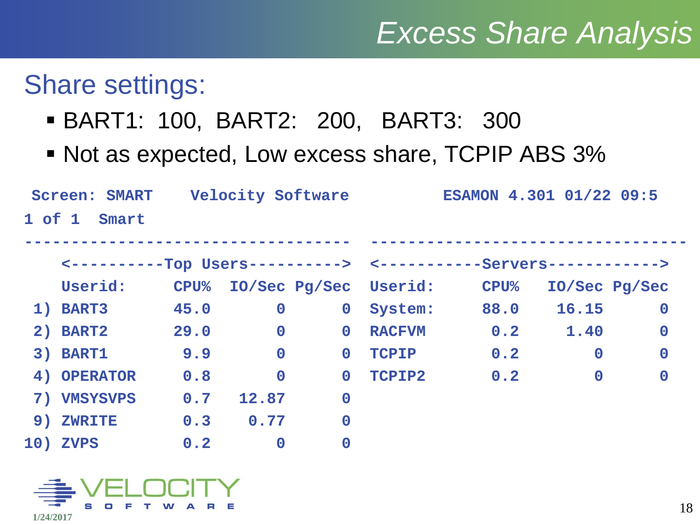#### Share settings:

- BART1: 100, BART2: 200, BART3: 300
- Not as expected, Low excess share, TCPIP ABS 3%

|            | <b>Screen: SMART</b>                                              |             | <b>Velocity Software</b> |             |               | ESAMON 4.301 01/22 09:5 |               |             |
|------------|-------------------------------------------------------------------|-------------|--------------------------|-------------|---------------|-------------------------|---------------|-------------|
| $1$ of $1$ | Smart                                                             |             |                          |             |               |                         |               |             |
|            |                                                                   |             |                          |             |               |                         |               |             |
|            | <-----------Top Users----------> <-----------Servers------------> |             |                          |             |               |                         |               |             |
|            | Userid:                                                           | <b>CPU%</b> | IO/Sec Pg/Sec Userid:    |             |               | <b>CPU%</b>             | IO/Sec Pg/Sec |             |
|            | 1) BART3                                                          | 45.0        | $\mathbf 0$              | $\mathbf 0$ | System:       | 88.0                    | 16.15         | $\mathbf 0$ |
|            | 2) BART2                                                          | 29.0        | $\mathbf 0$              | $\mathbf 0$ | <b>RACFVM</b> | 0.2                     | 1.40          | $\bf{0}$    |
|            | 3) BART1                                                          | 9.9         | $\overline{0}$           | $\mathbf 0$ | <b>TCPIP</b>  | 0.2                     | $\mathbf 0$   | $\mathbf 0$ |
|            | 4) OPERATOR                                                       | 0.8         | $\overline{0}$           | $\mathbf 0$ | TCPIP2        | 0.2                     | $\mathbf 0$   | $\mathbf 0$ |
|            | 7) VMSYSVPS                                                       | 0.7         | 12.87                    | $\mathbf 0$ |               |                         |               |             |
|            | 9) ZWRITE                                                         | 0.3         | 0.77                     | $\mathbf 0$ |               |                         |               |             |
|            | 10) ZVPS                                                          | 0.2         | $\mathbf 0$              | $\bf{0}$    |               |                         |               |             |

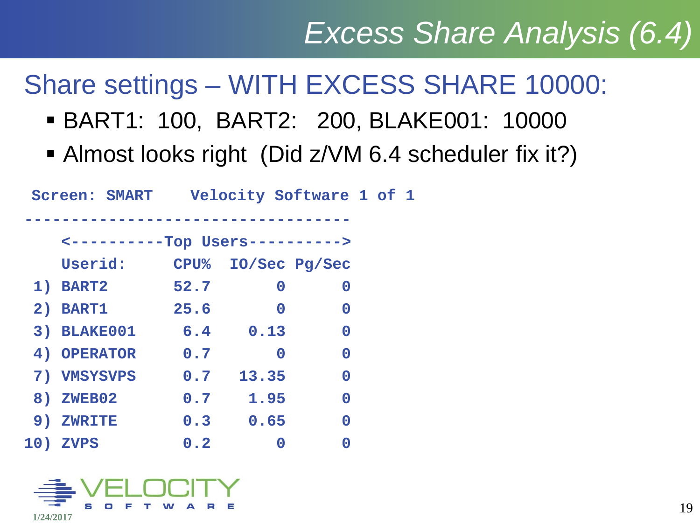### Share settings – WITH EXCESS SHARE 10000:

- BART1: 100, BART2: 200, BLAKE001: 10000
- Almost looks right (Did z/VM 6.4 scheduler fix it?)

|             | <b>Screen: SMART</b> |      |          | Velocity Software 1 of 1        |  |  |
|-------------|----------------------|------|----------|---------------------------------|--|--|
|             |                      |      |          |                                 |  |  |
|             |                      |      |          | <----------Top Users----------> |  |  |
| Userid:     |                      |      |          | CPU% IO/Sec Pg/Sec              |  |  |
| 1) BART2    |                      | 52.7 | 0        | O                               |  |  |
| 2) BART1    |                      | 25.6 | $\bf{0}$ | O                               |  |  |
| 3) BLAKE001 |                      | 6.4  | 0.13     | $\bf{0}$                        |  |  |
| 4) OPERATOR |                      | 0.7  | 0        | $\bf{0}$                        |  |  |
| 7) VMSYSVPS |                      | 0.7  | 13.35    | 0                               |  |  |
| 8) ZWEB02   |                      | 0.7  | 1.95     | $\bf{0}$                        |  |  |
| 9) ZWRITE   |                      | 0.3  | 0.65     | 0                               |  |  |
| 10) ZVPS    |                      | 0.2  |          |                                 |  |  |

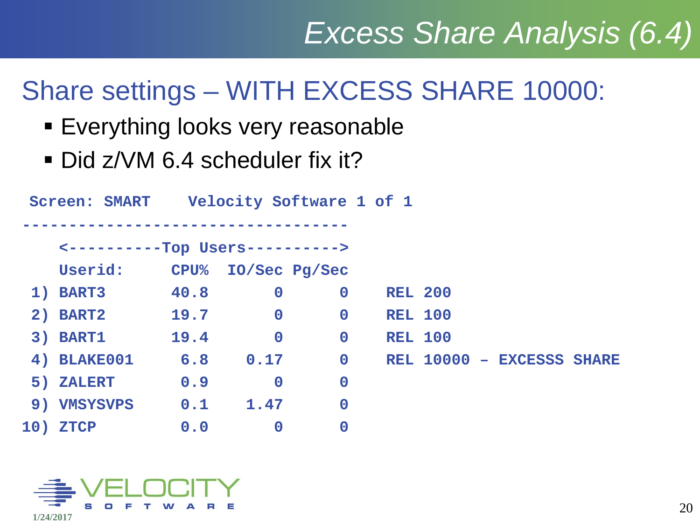### Share settings – WITH EXCESS SHARE 10000:

- **Everything looks very reasonable**
- Did z/VM 6.4 scheduler fix it?

|    | <b>Screen: SMART</b>            |             | Velocity Software 1 of 1 |             |                |  |                           |  |
|----|---------------------------------|-------------|--------------------------|-------------|----------------|--|---------------------------|--|
|    |                                 |             |                          |             |                |  |                           |  |
|    | <----------Top Users----------> |             |                          |             |                |  |                           |  |
|    | Userid:                         | <b>CPU%</b> | IO/Sec Pg/Sec            |             |                |  |                           |  |
|    | 1) BART3                        | 40.8        | $\mathbf 0$              | $\mathbf 0$ | <b>REL 200</b> |  |                           |  |
|    | 2) BART2                        | 19.7        | $\mathbf 0$              | $\mathbf 0$ | <b>REL 100</b> |  |                           |  |
|    | 3) BART1                        | 19.4        | $\mathbf 0$              | $\mathbf 0$ | <b>REL 100</b> |  |                           |  |
|    | 4) BLAKE001                     | 6.8         | 0.17                     | $\mathbf 0$ |                |  | REL 10000 - EXCESSS SHARE |  |
|    | 5) ZALERT                       | 0.9         | $\mathbf 0$              | $\bf{0}$    |                |  |                           |  |
| 9) | <b>VMSYSVPS</b>                 | 0.1         | 1.47                     | $\bf{0}$    |                |  |                           |  |
|    | 10) ZTCP                        | 0.0         | $\mathbf 0$              | $\bf{0}$    |                |  |                           |  |

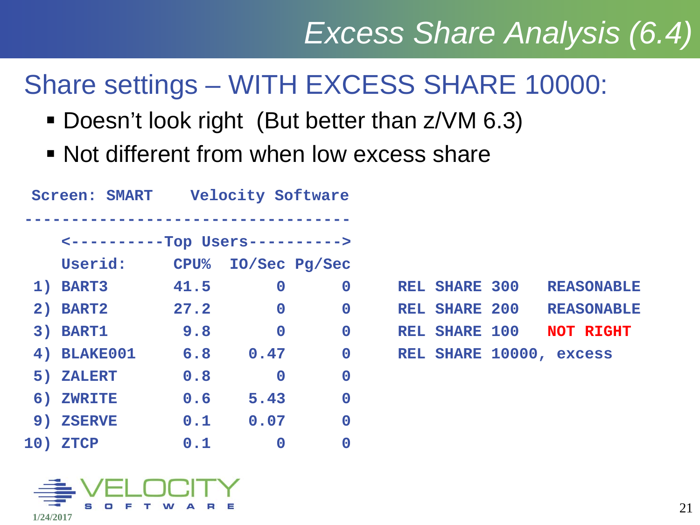### Share settings – WITH EXCESS SHARE 10000:

- Doesn't look right (But better than z/VM 6.3)
- Not different from when low excess share

|     | <b>Screen: SMART</b>            |                  | <b>Velocity Software</b> |             |                         |                   |  |
|-----|---------------------------------|------------------|--------------------------|-------------|-------------------------|-------------------|--|
|     | <----------Top Users----------> |                  |                          |             |                         |                   |  |
|     | Userid:                         | ${\bf CPU}$ $\!$ | IO/Sec Pg/Sec            |             |                         |                   |  |
|     | 1) BART3                        | 41.5             | $\mathbf 0$              | $\mathbf 0$ | <b>REL SHARE 300</b>    | <b>REASONABLE</b> |  |
|     | 2) BART2                        | 27.2             | $\mathbf 0$              | $\mathbf 0$ | <b>REL SHARE 200</b>    | <b>REASONABLE</b> |  |
|     | 3) BART1                        | 9.8              | $\mathbf 0$              | $\mathbf 0$ | <b>REL SHARE 100</b>    | <b>NOT RIGHT</b>  |  |
|     | <b>4) BLAKE001</b>              | 6.8              | 0.47                     | $\mathbf 0$ | REL SHARE 10000, excess |                   |  |
|     | 5) ZALERT                       | 0.8              | $\mathbf 0$              | $\mathbf 0$ |                         |                   |  |
|     | 6) ZWRITE                       | 0.6              | 5.43                     | $\mathbf 0$ |                         |                   |  |
|     | 9) ZSERVE                       | 0.1              | 0.07                     | $\mathbf 0$ |                         |                   |  |
| 10) | <b>ZTCP</b>                     | 0.1              | $\mathbf 0$              | $\bf{0}$    |                         |                   |  |
|     |                                 |                  |                          |             |                         |                   |  |

|  | <b>REL SHARE 300</b>    |  | <b>REASONABLE</b>        |
|--|-------------------------|--|--------------------------|
|  |                         |  | REL SHARE 200 REASONABLE |
|  | REL SHARE 100 NOT RIGHT |  |                          |
|  | REL SHARE 10000, excess |  |                          |

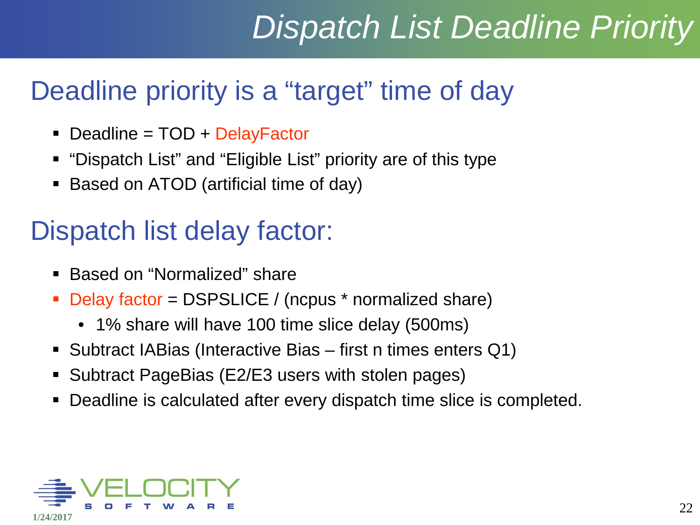# *Dispatch List Deadline Priority*

#### Deadline priority is a "target" time of day

- Deadline = TOD + DelayFactor
- "Dispatch List" and "Eligible List" priority are of this type
- Based on ATOD (artificial time of day)

### Dispatch list delay factor:

- Based on "Normalized" share
- Delay factor = DSPSLICE / (ncpus \* normalized share)
	- 1% share will have 100 time slice delay (500ms)
- Subtract IABias (Interactive Bias first n times enters Q1)
- Subtract PageBias (E2/E3 users with stolen pages)
- Deadline is calculated after every dispatch time slice is completed.

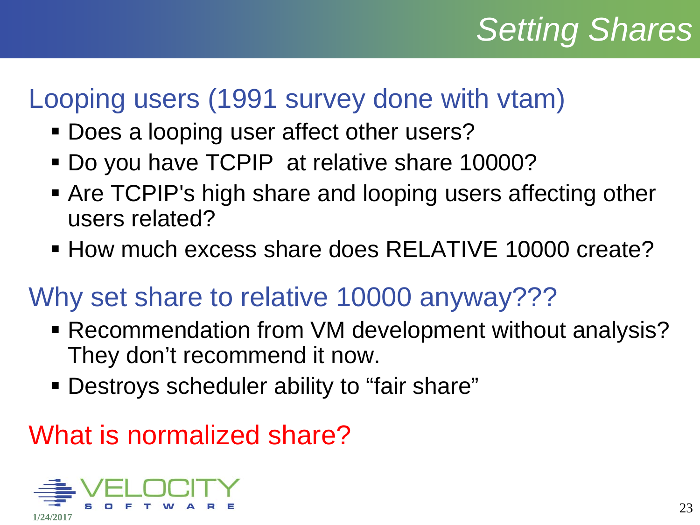# *Setting Shares*

#### Looping users (1991 survey done with vtam)

- Does a looping user affect other users?
- Do you have TCPIP at relative share 10000?
- Are TCPIP's high share and looping users affecting other users related?
- **How much excess share does RELATIVE 10000 create?**

#### Why set share to relative 10000 anyway???

- Recommendation from VM development without analysis? They don't recommend it now.
- Destroys scheduler ability to "fair share"

#### What is normalized share?

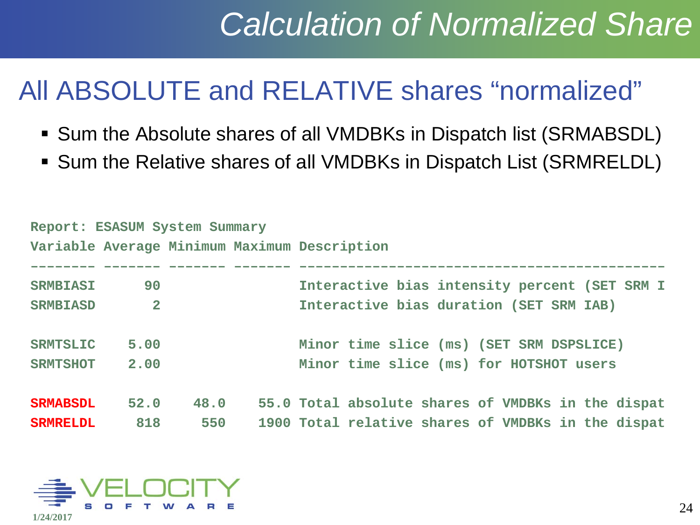# *Calculation of Normalized Share*

#### All ABSOLUTE and RELATIVE shares "normalized"

- Sum the Absolute shares of all VMDBKs in Dispatch list (SRMABSDL)
- Sum the Relative shares of all VMDBKs in Dispatch List (SRMRELDL)

| Report: ESASUM System Summary |                |      |                                                    |
|-------------------------------|----------------|------|----------------------------------------------------|
|                               |                |      | Variable Average Minimum Maximum Description       |
|                               |                |      |                                                    |
| <b>SRMBIASI</b>               | 90             |      | Interactive bias intensity percent (SET SRM I      |
| <b>SRMBIASD</b>               | $\overline{2}$ |      | Interactive bias duration (SET SRM IAB)            |
|                               |                |      |                                                    |
| <b>SRMTSLIC</b>               | 5.00           |      | Minor time slice (ms) (SET SRM DSPSLICE)           |
| <b>SRMTSHOT</b>               | 2.00           |      | Minor time slice (ms) for HOTSHOT users            |
|                               |                |      |                                                    |
| <b>SRMABSDL</b>               | 52.0           | 48.0 | 55.0 Total absolute shares of VMDBKs in the dispat |
| <b>SRMRELDL</b>               | 818            | 550  | 1900 Total relative shares of VMDBKs in the dispat |

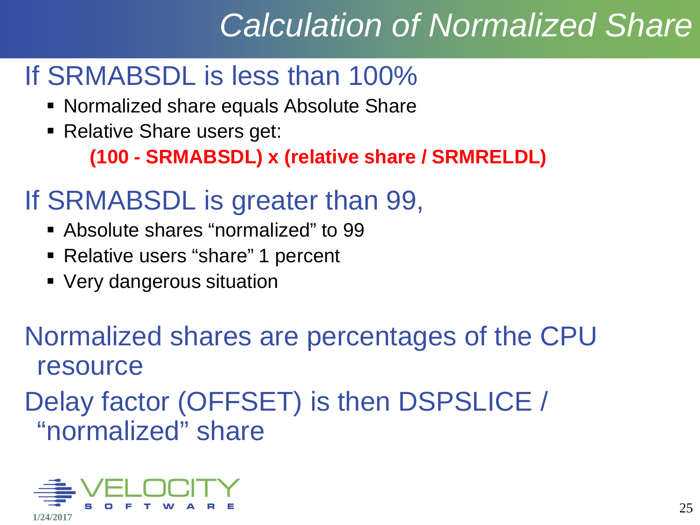# *Calculation of Normalized Share*

#### If SRMABSDL is less than 100%

- **Normalized share equals Absolute Share**
- **Relative Share users get:**

**(100 - SRMABSDL) x (relative share / SRMRELDL)**

#### If SRMABSDL is greater than 99,

- Absolute shares "normalized" to 99
- Relative users "share" 1 percent
- Very dangerous situation

Normalized shares are percentages of the CPU resource

Delay factor (OFFSET) is then DSPSLICE / "normalized" share

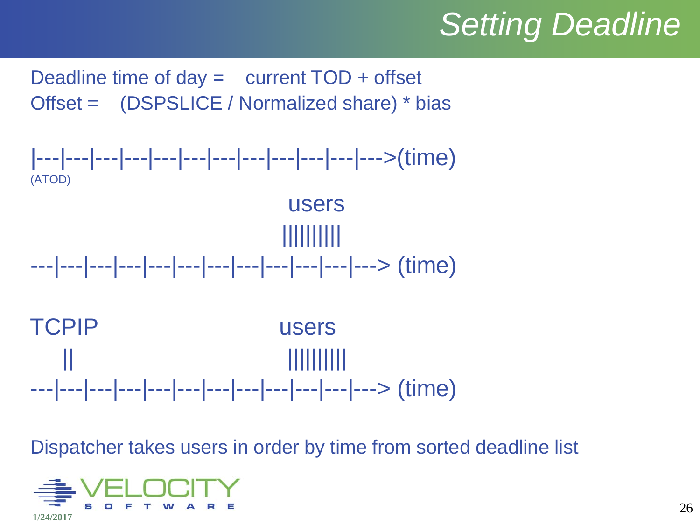# *Setting Deadline*

Deadline time of  $day =$  current  $TOD +$  offset Offset = (DSPSLICE / Normalized share) \* bias



Dispatcher takes users in order by time from sorted deadline list

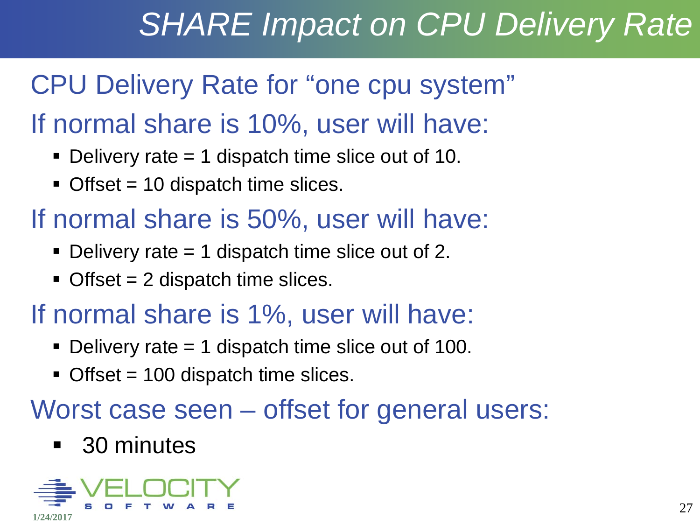# *SHARE Impact on CPU Delivery Rate*

### CPU Delivery Rate for "one cpu system"

#### If normal share is 10%, user will have:

- Delivery rate  $= 1$  dispatch time slice out of 10.
- $\blacksquare$  Offset = 10 dispatch time slices.

#### If normal share is 50%, user will have:

- Delivery rate  $= 1$  dispatch time slice out of 2.
- $\blacksquare$  Offset = 2 dispatch time slices.

#### If normal share is 1%, user will have:

- Delivery rate  $= 1$  dispatch time slice out of 100.
- $\blacksquare$  Offset = 100 dispatch time slices.

#### Worst case seen – offset for general users:

#### ■ 30 minutes

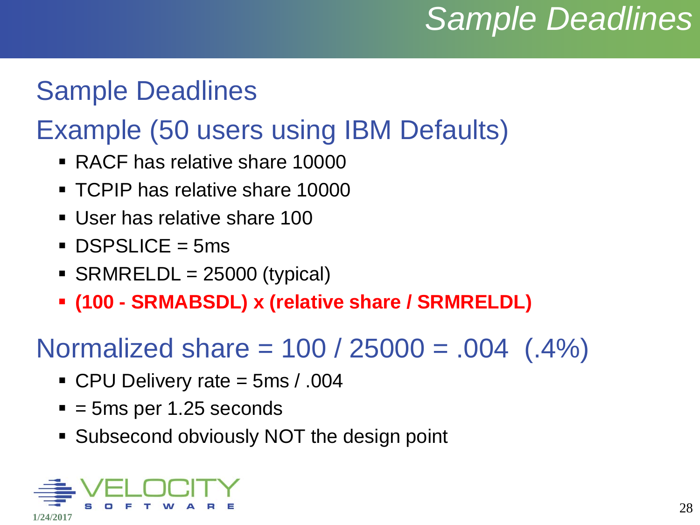## *Sample Deadlines*

#### Sample Deadlines

### Example (50 users using IBM Defaults)

- RACF has relative share 10000
- **TCPIP has relative share 10000**
- User has relative share 100
- $\blacksquare$  DSPSLICE = 5ms
- $\blacksquare$  SRMRELDL = 25000 (typical)
- **(100 - SRMABSDL) x (relative share / SRMRELDL)**

#### Normalized share =  $100 / 25000 = .004$  (.4%)

- CPU Delivery rate = 5ms / .004
- $= 5$ ms per 1.25 seconds
- **Subsecond obviously NOT the design point**

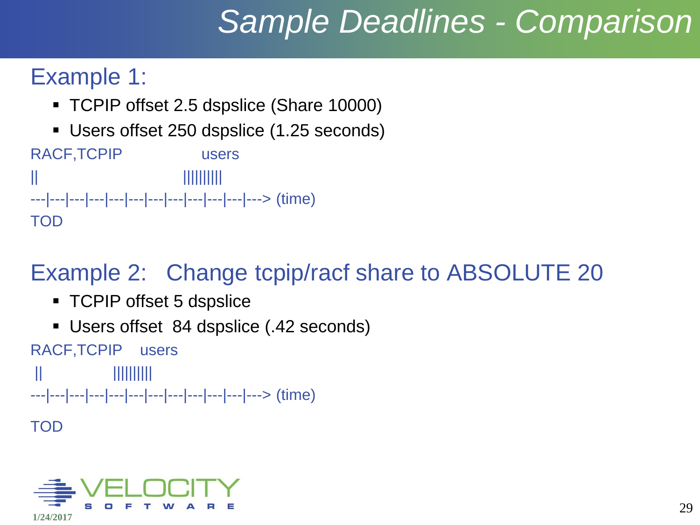# *Sample Deadlines - Comparison*

#### Example 1:

- TCPIP offset 2.5 dspslice (Share 10000)
- Users offset 250 dspslice (1.25 seconds)

RACF,TCPIP users || |||||||||| ---|---|---|---|---|---|---|---|---|---|---|---> (time) TOD

#### Example 2: Change tcpip/racf share to ABSOLUTE 20

- **TCPIP offset 5 dspslice**
- Users offset 84 dspslice (.42 seconds)

RACF,TCPIP users || |||||||||| ---|---|---|---|---|---|---|---|---|---|---|---> (time) TOD

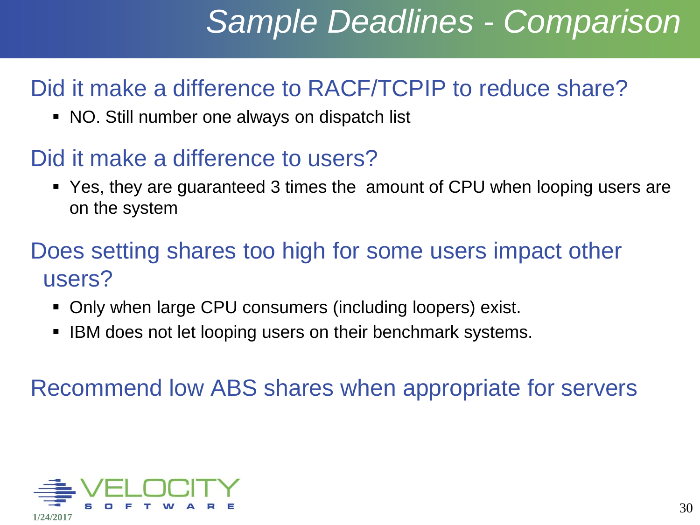# *Sample Deadlines - Comparison*

#### Did it make a difference to RACF/TCPIP to reduce share?

NO. Still number one always on dispatch list

#### Did it make a difference to users?

 Yes, they are guaranteed 3 times the amount of CPU when looping users are on the system

#### Does setting shares too high for some users impact other users?

- Only when large CPU consumers (including loopers) exist.
- IBM does not let looping users on their benchmark systems.

Recommend low ABS shares when appropriate for servers

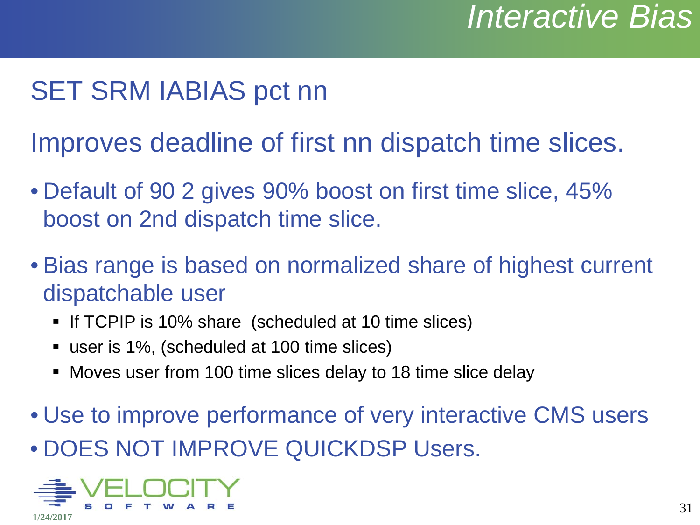### SET SRM IABIAS pct nn

Improves deadline of first nn dispatch time slices.

- Default of 90 2 gives 90% boost on first time slice, 45% boost on 2nd dispatch time slice.
- Bias range is based on normalized share of highest current dispatchable user
	- If TCPIP is 10% share (scheduled at 10 time slices)
	- user is 1%, (scheduled at 100 time slices)
	- Moves user from 100 time slices delay to 18 time slice delay
- Use to improve performance of very interactive CMS users • DOES NOT IMPROVE QUICKDSP Users.

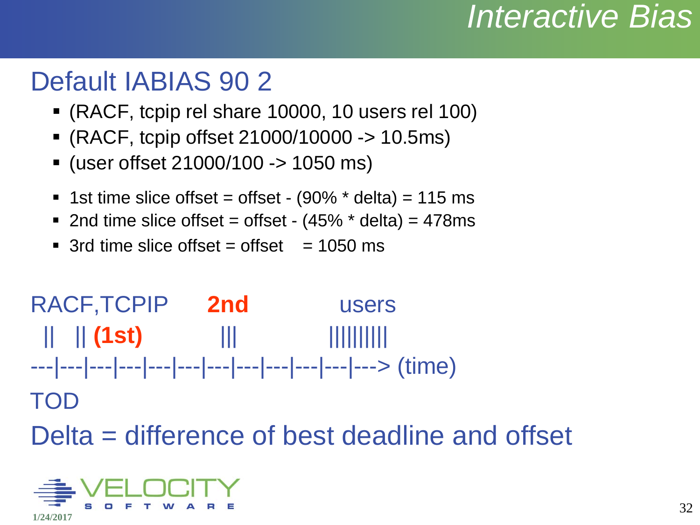### *Interactive Bias*

#### Default IABIAS 90 2

- (RACF, tcpip rel share 10000, 10 users rel 100)
- (RACF, tcpip offset 21000/10000 -> 10.5ms)
- (user offset 21000/100 -> 1050 ms)
- **1st time slice offset = offset (90%**  $*$  **delta) = 115 ms**
- $\blacksquare$  2nd time slice offset = offset (45%  $\smash{\star}$  delta) = 478ms
- $\blacksquare$  3rd time slice offset = offset = 1050 ms



Delta = difference of best deadline and offset

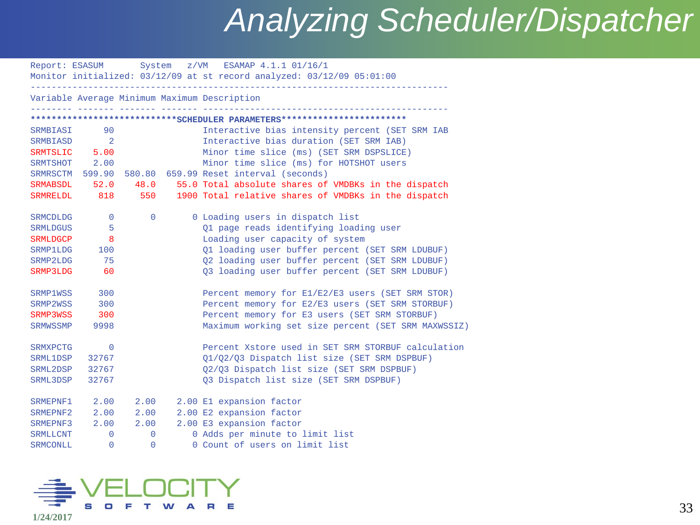### *Analyzing Scheduler/Dispatcher*

|                 |                            |              | Report: ESASUM System z/VM ESAMAP 4.1.1 01/16/1<br>Monitor initialized: 03/12/09 at st record analyzed: 03/12/09 05:01:00 |
|-----------------|----------------------------|--------------|---------------------------------------------------------------------------------------------------------------------------|
|                 |                            |              | Variable Average Minimum Maximum Description                                                                              |
|                 |                            |              | ****************************SCHEDULER PARAMETERS************************                                                  |
| SRMBIASI        | 90                         |              | Interactive bias intensity percent (SET SRM IAB                                                                           |
| SRMBIASD        | $\overline{\phantom{0}}$ 2 |              | Interactive bias duration (SET SRM IAB)                                                                                   |
| SRMTSLIC        | 5.00                       |              | Minor time slice (ms) (SET SRM DSPSLICE)                                                                                  |
|                 | SRMTSHOT 2.00              |              | Minor time slice (ms) for HOTSHOT users                                                                                   |
|                 | SRMRSCTM 599.90            |              | 580.80 659.99 Reset interval (seconds)                                                                                    |
| SRMABSDL        | 52.0                       | 48.0         | 55.0 Total absolute shares of VMDBKs in the dispatch                                                                      |
| <b>SRMRELDL</b> | 818                        | 550          | 1900 Total relative shares of VMDBKs in the dispatch                                                                      |
| <b>SRMCDLDG</b> | $\Omega$                   | $\mathbf{0}$ | 0 Loading users in dispatch list                                                                                          |
| <b>SRMLDGUS</b> | 5                          |              | Q1 page reads identifying loading user                                                                                    |
| <b>SRMLDGCP</b> | 8                          |              | Loading user capacity of system                                                                                           |
| <b>SRMP1LDG</b> | 100                        |              | Q1 loading user buffer percent (SET SRM LDUBUF)                                                                           |
| SRMP2LDG        | 75                         |              | Q2 loading user buffer percent (SET SRM LDUBUF)                                                                           |
| SRMP3LDG        | 60                         |              | Q3 loading user buffer percent (SET SRM LDUBUF)                                                                           |
| SRMP1WSS        | 300                        |              | Percent memory for E1/E2/E3 users (SET SRM STOR)                                                                          |
| SRMP2WSS        | 300                        |              | Percent memory for E2/E3 users (SET SRM STORBUF)                                                                          |
| SRMP3WSS        | 300                        |              | Percent memory for E3 users (SET SRM STORBUF)                                                                             |
| <b>SRMWSSMP</b> | 9998                       |              | Maximum working set size percent (SET SRM MAXWSSIZ)                                                                       |
| <b>SRMXPCTG</b> | $\Omega$                   |              | Percent Xstore used in SET SRM STORBUF calculation                                                                        |
| SRML1DSP        | 32767                      |              | 01/02/03 Dispatch list size (SET SRM DSPBUF)                                                                              |
| SRML2DSP        | 32767                      |              | Q2/Q3 Dispatch list size (SET SRM DSPBUF)                                                                                 |
| SRML3DSP        | 32767                      |              | Q3 Dispatch list size (SET SRM DSPBUF)                                                                                    |
| SRMEPNF1        | 2.00                       | 2.00         | 2.00 El expansion factor                                                                                                  |
| SRMEPNF2        | 2.00                       | 2.00         | 2.00 E2 expansion factor                                                                                                  |
| SRMEPNF3        | 2.00                       | 2.00         | 2.00 E3 expansion factor                                                                                                  |
| <b>SRMLLCNT</b> | $\Omega$                   | $\Omega$     | 0 Adds per minute to limit list                                                                                           |
| SRMCONLL        | $\overline{0}$             | $\Omega$     | 0 Count of users on limit list                                                                                            |

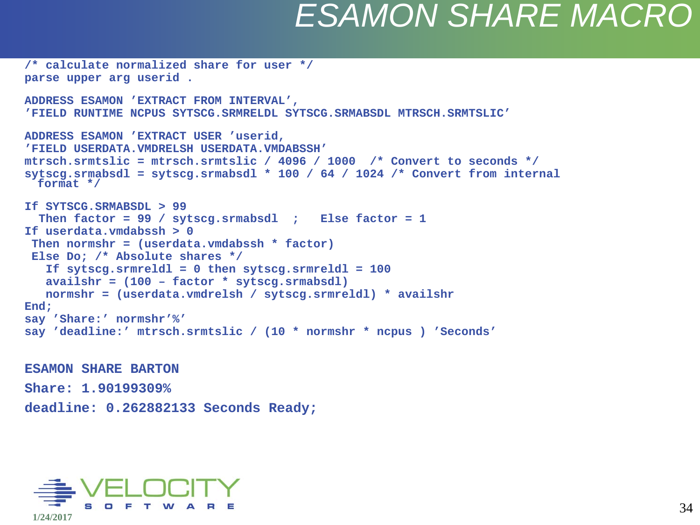### *ESAMON SHARE MACRO*

```
/* calculate normalized share for user */
parse upper arg userid .
ADDRESS ESAMON 'EXTRACT FROM INTERVAL',
'FIELD RUNTIME NCPUS SYTSCG.SRMRELDL SYTSCG.SRMABSDL MTRSCH.SRMTSLIC'
ADDRESS ESAMON 'EXTRACT USER 'userid,
'FIELD USERDATA.VMDRELSH USERDATA.VMDABSSH'
mtrsch.srmtslic = mtrsch.srmtslic / 4096 / 1000 /* Convert to seconds */
sytscg.srmabsdl = sytscg.srmabsdl * 100 / 64 / 1024 /* Convert from internal 
  format */
If SYTSCG.SRMABSDL > 99
   Then factor = 99 / sytscg.srmabsdl ; Else factor = 1
If userdata.vmdabssh > 0
 Then normshr = (userdata.vmdabssh * factor)
 Else Do; /* Absolute shares */
    If sytscg.srmreldl = 0 then sytscg.srmreldl = 100
    availshr = (100 – factor * sytscg.srmabsdl)
    normshr = (userdata.vmdrelsh / sytscg.srmreldl) * availshr
End;
say 'Share:' normshr'%'
say 'deadline:' mtrsch.srmtslic / (10 * normshr * ncpus ) 'Seconds'
```
**ESAMON SHARE BARTON Share: 1.90199309% deadline: 0.262882133 Seconds Ready;**

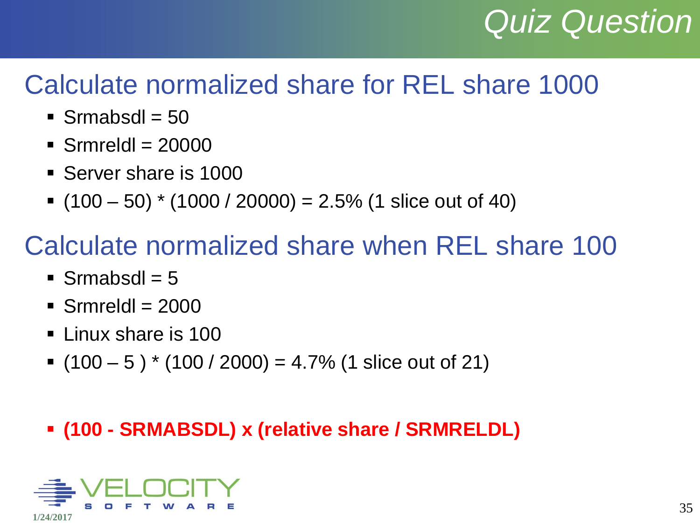# *Quiz Question*

#### Calculate normalized share for REL share 1000

- $\blacksquare$  Srmabsdl = 50
- $\blacksquare$  Srmreldl = 20000
- **Server share is 1000**
- $(100 50)$  \* (1000 / 20000) = 2.5% (1 slice out of 40)

#### Calculate normalized share when REL share 100

- $\blacksquare$  Srmabsdl = 5
- $\blacksquare$  Srmreldl = 2000
- **Linux share is 100**
- $(100 5)^* (100 / 2000) = 4.7\% (1 \text{ slice out of 21})$

#### **(100 - SRMABSDL) x (relative share / SRMRELDL)**

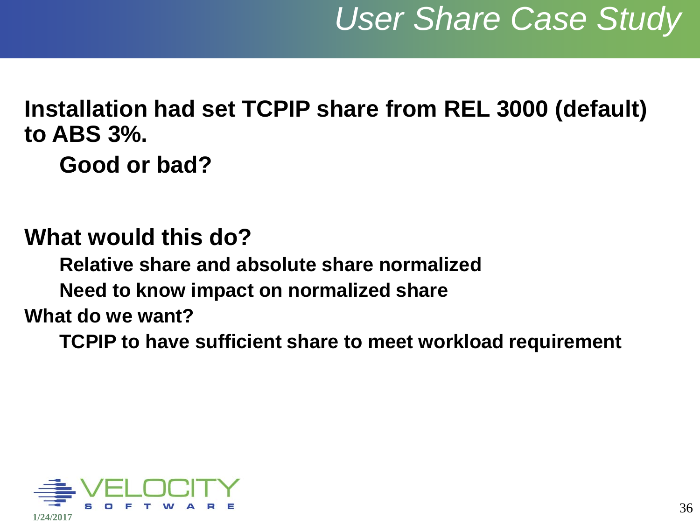#### **Installation had set TCPIP share from REL 3000 (default) to ABS 3%. Good or bad?**

#### **What would this do?**

**Relative share and absolute share normalized**

**Need to know impact on normalized share**

#### **What do we want?**

**TCPIP to have sufficient share to meet workload requirement**

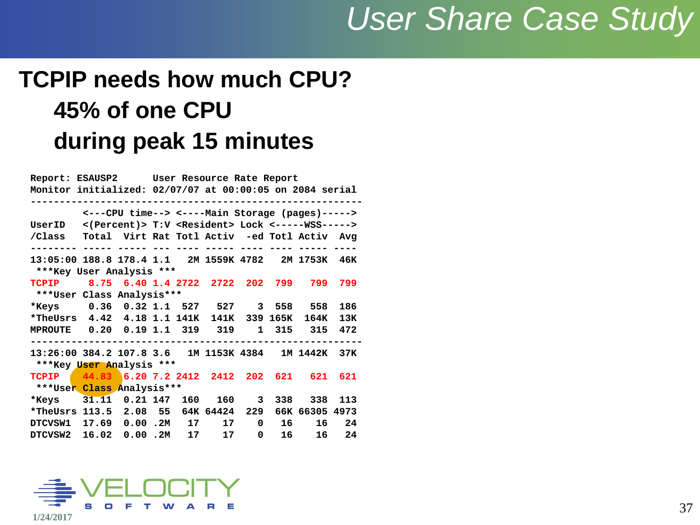### *User Share Case Study*

#### **TCPIP needs how much CPU? 45% of one CPU during peak 15 minutes**

|                                                                                                                     |                                      |  | Report: ESAUSP2 User Resource Rate Report |  |       |   |       |                    |         |  |  |  |  |
|---------------------------------------------------------------------------------------------------------------------|--------------------------------------|--|-------------------------------------------|--|-------|---|-------|--------------------|---------|--|--|--|--|
| Monitor initialized: 02/07/07 at 00:00:05 on 2084 serial                                                            |                                      |  |                                           |  |       |   |       |                    |         |  |  |  |  |
| <---CPU time--> <----Main Storage (pages)-----><br><(Percent)> T:V <resident> Lock &lt;-----WSS-----&gt;</resident> |                                      |  |                                           |  |       |   |       |                    |         |  |  |  |  |
| UserID                                                                                                              |                                      |  |                                           |  |       |   |       |                    |         |  |  |  |  |
| /Class Total Virt Rat Totl Activ -ed Totl Activ Avg                                                                 |                                      |  |                                           |  |       |   |       |                    |         |  |  |  |  |
|                                                                                                                     |                                      |  |                                           |  |       |   |       |                    |         |  |  |  |  |
| 13:05:00 188.8 178.4 1.1 2M 1559K 4782 2M 1753K 46K                                                                 |                                      |  |                                           |  |       |   |       |                    |         |  |  |  |  |
| ***Key User Analysis ***                                                                                            |                                      |  |                                           |  |       |   |       |                    |         |  |  |  |  |
| TCPIP 8.75 6.40 1.4 2722 2722 202 799                                                                               |                                      |  |                                           |  |       |   |       | 799                | 799     |  |  |  |  |
|                                                                                                                     | ***User Class Analysis***            |  |                                           |  |       |   |       |                    |         |  |  |  |  |
| *Keys                                                                                                               | 0.36 0.32 1.1 527 527 3 558 558      |  |                                           |  |       |   |       |                    | 186     |  |  |  |  |
| *TheUsrs 4.42 4.18 1.1 141K 141K 339 165K                                                                           |                                      |  |                                           |  |       |   |       | 164K               | 13K     |  |  |  |  |
| MPROUTE  0.20  0.19  1.1  319  319                                                                                  |                                      |  |                                           |  |       |   | 1 315 |                    | 315 472 |  |  |  |  |
| 13:26:00 384.2 107.8 3.6 1M 1153K 4384 1M 1442K 37K                                                                 |                                      |  |                                           |  |       |   |       |                    |         |  |  |  |  |
| ***Key User Analysis ***                                                                                            |                                      |  |                                           |  |       |   |       |                    |         |  |  |  |  |
| TCPIP                                                                                                               | $44.83$ 6.20 7.2 2412 2412 202 621   |  |                                           |  |       |   |       | 621                | 621     |  |  |  |  |
| ***User Class Analysis***                                                                                           |                                      |  |                                           |  |       |   |       |                    |         |  |  |  |  |
| *Keys                                                                                                               | 31.11 0.21 147 160 160 3 338 338 113 |  |                                           |  |       |   |       |                    |         |  |  |  |  |
| *TheUsrs 113.5 2.08 55 64K 64424                                                                                    |                                      |  |                                           |  |       |   |       | 229 66K 66305 4973 |         |  |  |  |  |
| DTCVSW1 17.69 0.00 .2M 17                                                                                           |                                      |  |                                           |  | 17    | 0 | 16 —  | 16                 | 24      |  |  |  |  |
| DTCVSW2 16.02 0.00 .2M                                                                                              |                                      |  |                                           |  | 17 17 | 0 | 16    | 16                 | 24      |  |  |  |  |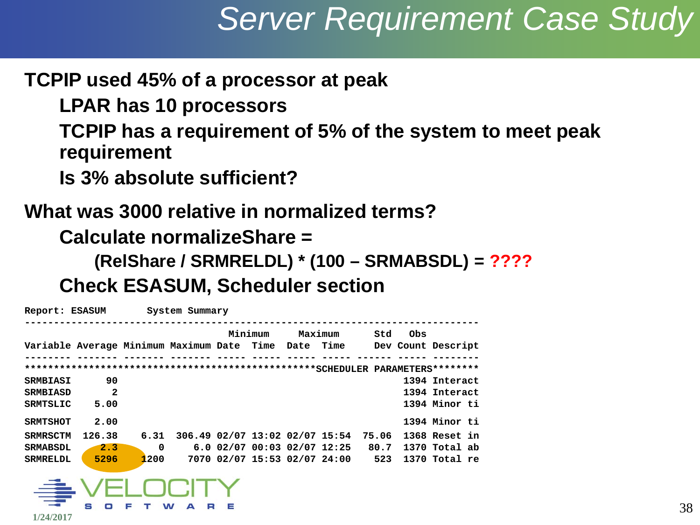### *Server Requirement Case Study*

#### **TCPIP used 45% of a processor at peak**

**LPAR has 10 processors**

**TCPIP has a requirement of 5% of the system to meet peak requirement**

**Is 3% absolute sufficient?**

#### **What was 3000 relative in normalized terms? Calculate normalizeShare =**

**(RelShare / SRMRELDL) \* (100 – SRMABSDL) = ????**

**Check ESASUM, Scheduler section**

| Report: ESASUM                                                          |              |          | System Summary |         |                              |                                      |     |               |  |  |
|-------------------------------------------------------------------------|--------------|----------|----------------|---------|------------------------------|--------------------------------------|-----|---------------|--|--|
|                                                                         |              |          |                | Minimum | Maximum                      | Std                                  | Obs |               |  |  |
| Variable Average Minimum Maximum Date Time Date Time Dev Count Descript |              |          |                |         |                              |                                      |     |               |  |  |
|                                                                         |              |          |                |         |                              |                                      |     |               |  |  |
|                                                                         |              |          |                |         |                              |                                      |     |               |  |  |
| <b>SRMBIASI</b>                                                         | 90           |          |                |         |                              |                                      |     | 1394 Interact |  |  |
| <b>SRMBIASD</b>                                                         | $\mathbf{2}$ |          |                |         |                              |                                      |     | 1394 Interact |  |  |
| SRMTSLIC                                                                | 5.00         |          |                |         |                              |                                      |     | 1394 Minor ti |  |  |
| <b>SRMTSHOT</b>                                                         | 2.00         |          |                |         |                              |                                      |     | 1394 Minor ti |  |  |
| <b>SRMRSCTM</b>                                                         | 126.38       | 6.31     |                |         |                              | 306.49 02/07 13:02 02/07 15:54 75.06 |     | 1368 Reset in |  |  |
| <b>SRMABSDL</b>                                                         | 2.3          | $\Omega$ |                |         | 6.0 02/07 00:03 02/07 12:25  | 80.7                                 |     | 1370 Total ab |  |  |
| <b>SRMRELDL</b>                                                         | 5296         | 1200     |                |         | 7070 02/07 15:53 02/07 24:00 | 523                                  |     | 1370 Total re |  |  |
|                                                                         |              |          |                |         |                              |                                      |     |               |  |  |
| €                                                                       |              | HUCILY   |                |         |                              |                                      |     |               |  |  |
|                                                                         |              |          |                |         |                              |                                      |     |               |  |  |
|                                                                         | s<br>о       |          | R<br>W<br>A    |         |                              |                                      |     |               |  |  |

**1/24/2017**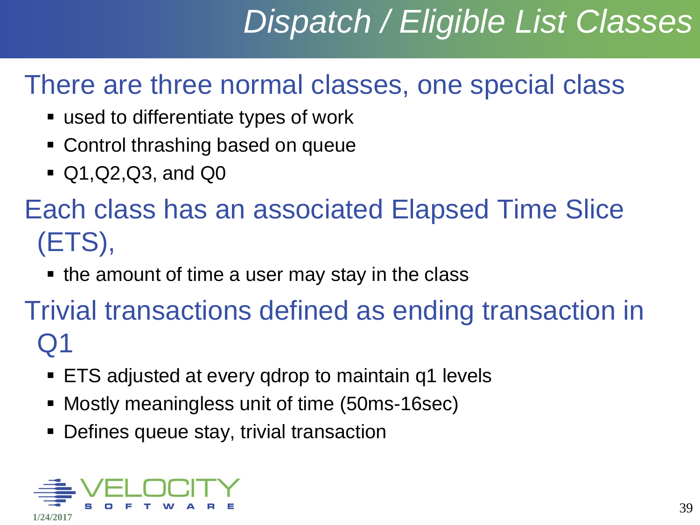# *Dispatch / Eligible List Classes*

#### There are three normal classes, one special class

- used to differentiate types of work
- **Control thrashing based on queue**
- Q1,Q2,Q3, and Q0

### Each class has an associated Elapsed Time Slice (ETS),

 $\blacksquare$  the amount of time a user may stay in the class

#### Trivial transactions defined as ending transaction in Q1

- ETS adjusted at every qdrop to maintain q1 levels
- Mostly meaningless unit of time (50ms-16sec)
- Defines queue stay, trivial transaction

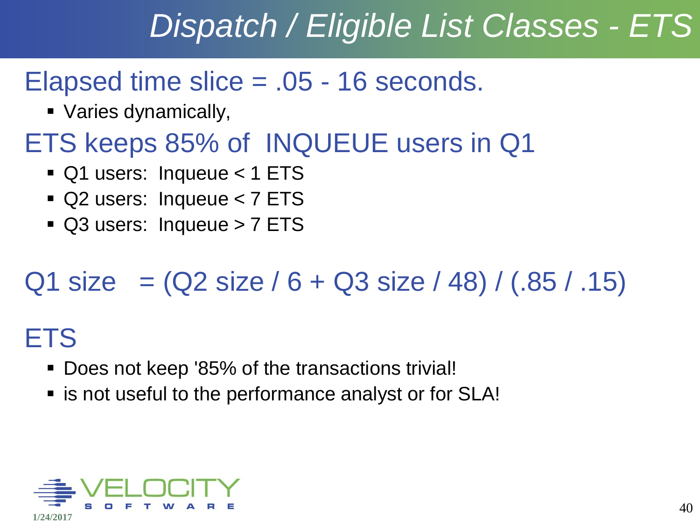# *Dispatch / Eligible List Classes - ETS*

#### Elapsed time slice = .05 - 16 seconds.

Varies dynamically,

### ETS keeps 85% of INQUEUE users in Q1

- Q1 users: Inqueue < 1 ETS
- Q2 users: Inqueue < 7 ETS
- Q3 users: Inqueue > 7 ETS

### $Q1$  size  $= (Q2$  size / 6 + Q3 size / 48) / (.85 / .15)

### **ETS**

- **Does not keep '85% of the transactions trivial!**
- **Example 1** is not useful to the performance analyst or for SLA!

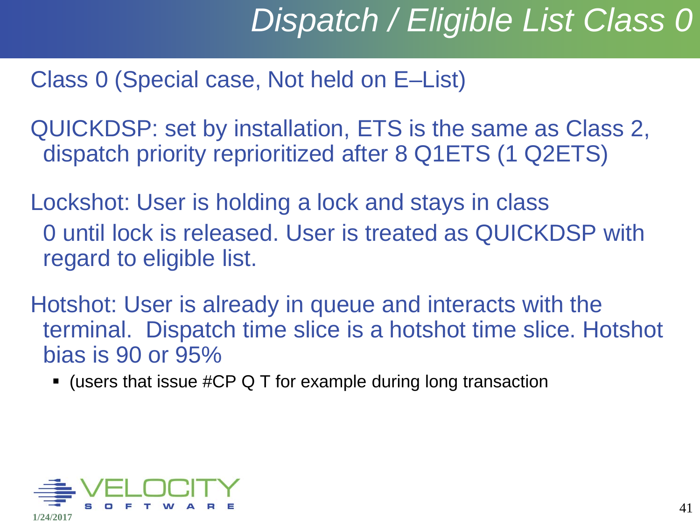# *Dispatch / Eligible List Class 0*

#### Class 0 (Special case, Not held on E–List)

QUICKDSP: set by installation, ETS is the same as Class 2, dispatch priority reprioritized after 8 Q1ETS (1 Q2ETS)

Lockshot: User is holding a lock and stays in class 0 until lock is released. User is treated as QUICKDSP with regard to eligible list.

Hotshot: User is already in queue and interacts with the terminal. Dispatch time slice is a hotshot time slice. Hotshot bias is 90 or 95%

 $\blacksquare$  (users that issue #CP Q T for example during long transaction

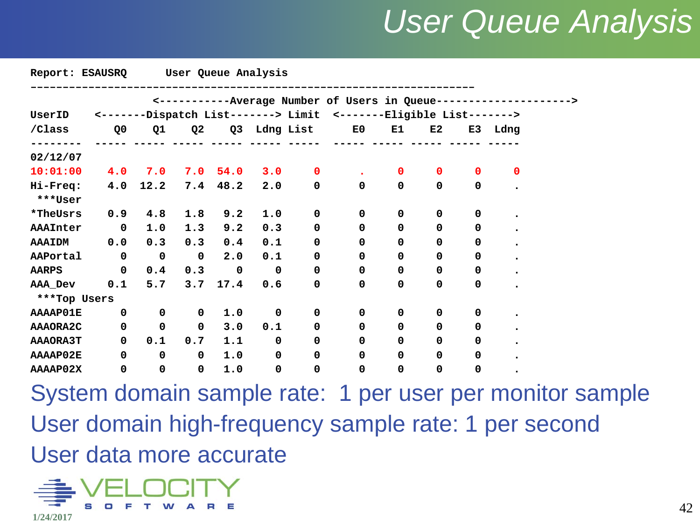### *User Queue Analysis*

| Report: ESAUSRQ |                |             | User Queue Analysis |      |             |              |                                                                   |             |              |             |          |
|-----------------|----------------|-------------|---------------------|------|-------------|--------------|-------------------------------------------------------------------|-------------|--------------|-------------|----------|
|                 |                |             |                     |      |             |              | <-----------Average Number of Users in Queue-------------         |             |              |             |          |
| UserID          |                |             |                     |      |             |              | <-------Dispatch List-------> Limit <-------Eligible List-------> |             |              |             |          |
| /Class          | Q <sub>0</sub> | Q1          | Q <sub>2</sub>      |      |             | Q3 Ldng List | E0                                                                | E1          | E2           |             | E3 Ldng  |
| 02/12/07        |                |             |                     |      |             |              |                                                                   |             |              |             |          |
| 10:01:00        | 4.0            | 7.0         | 7.0                 | 54.0 | 3.0         | $\Omega$     |                                                                   | 0           | $\mathbf{0}$ | $\Omega$    | $\Omega$ |
| Hi-Freq:        | 4.0            | 12.2        | 7.4                 | 48.2 | 2.0         | 0            | 0                                                                 | 0           | $\mathbf 0$  | $\mathbf 0$ |          |
| ***User         |                |             |                     |      |             |              |                                                                   |             |              |             |          |
| *TheUsrs        | 0.9            | 4.8         | 1.8                 | 9.2  | 1.0         | $\mathbf 0$  | 0                                                                 | 0           | $\mathbf 0$  | 0           |          |
| AAAInter        | $\mathbf 0$    | 1.0         | 1.3                 | 9.2  | 0.3         | 0            | 0                                                                 | 0           | 0            | 0           |          |
| <b>AAAIDM</b>   | 0.0            | 0.3         | 0.3                 | 0.4  | 0.1         | 0            | 0                                                                 | 0           | 0            | 0           |          |
| AAPortal        | $\mathbf 0$    | $\mathbf 0$ | $\mathbf 0$         | 2.0  | 0.1         | 0            | 0                                                                 | 0           | 0            | 0           |          |
| <b>AARPS</b>    | $\mathbf 0$    | 0.4         | 0.3                 | 0    | $\mathbf 0$ | $\mathbf 0$  | $\mathbf 0$                                                       | 0           | 0            | 0           |          |
| AAA_Dev         | 0.1            | 5.7         | 3.7                 | 17.4 | 0.6         | 0            | 0                                                                 | 0           | 0            | 0           |          |
| ***Top Users    |                |             |                     |      |             |              |                                                                   |             |              |             |          |
| <b>AAAAP01E</b> | 0              | 0           | $\mathbf 0$         | 1.0  | 0           | 0            | 0                                                                 | 0           | 0            | 0           |          |
| AAAORA2C        | $\mathbf 0$    | $\mathbf 0$ | $\mathbf 0$         | 3.0  | 0.1         | 0            | 0                                                                 | 0           | $\mathbf 0$  | 0           |          |
| <b>AAAORA3T</b> | 0              | 0.1         | 0.7                 | 1.1  | 0           | $\mathbf 0$  | 0                                                                 | $\mathbf 0$ | 0            | 0           |          |
| AAAAP02E        | 0              | $\mathbf 0$ | 0                   | 1.0  | 0           | 0            | 0                                                                 | 0           | 0            | 0           |          |
| AAAAP02X        | 0              | $\mathbf 0$ | $\mathbf 0$         | 1.0  | $\mathbf 0$ | 0            | 0                                                                 | 0           | 0            | 0           |          |

System domain sample rate: 1 per user per monitor sample User domain high-frequency sample rate: 1 per second User data more accurate

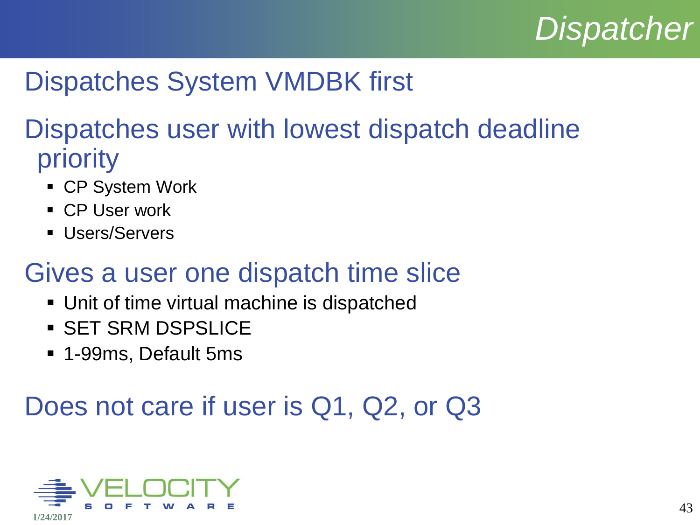# *Dispatcher*

### Dispatches System VMDBK first

#### Dispatches user with lowest dispatch deadline priority

- CP System Work
- **CP User work**
- **Users/Servers**

#### Gives a user one dispatch time slice

- Unit of time virtual machine is dispatched
- SET SRM DSPSLICE
- 1-99ms, Default 5ms

### Does not care if user is Q1, Q2, or Q3

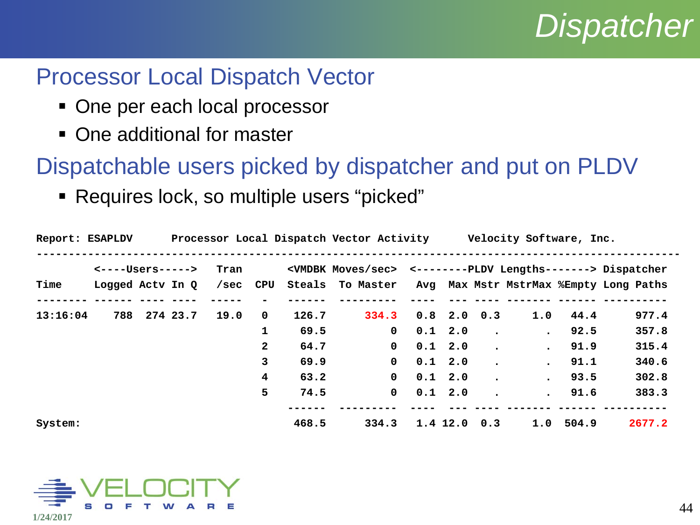### *Dispatcher*

#### Processor Local Dispatch Vector

- One per each local processor
- One additional for master

Dispatchable users picked by dispatcher and put on PLDV

Requires lock, so multiple users "picked"

| Report: ESAPLDV |                           |  |          |      |                | Processor Local Dispatch Vector Activity Velocity Software, Inc. |                                                         |                   |                 |                                                                              |                      |                                          |        |
|-----------------|---------------------------|--|----------|------|----------------|------------------------------------------------------------------|---------------------------------------------------------|-------------------|-----------------|------------------------------------------------------------------------------|----------------------|------------------------------------------|--------|
|                 | <----Users----->          |  | Tran     |      |                |                                                                  |                                                         |                   |                 | <vmdbk moves="" sec=""> &lt;-------PLDV Lengths------&gt; Dispatcher</vmdbk> |                      |                                          |        |
| Time            | Logged Actv In Q /sec CPU |  |          |      |                |                                                                  | Steals To Master Avg Max Mstr MstrMax %Empty Long Paths |                   |                 |                                                                              |                      |                                          |        |
|                 |                           |  |          |      |                |                                                                  |                                                         |                   |                 |                                                                              |                      |                                          |        |
| 13:16:04        | 788                       |  | 274 23.7 | 19.0 | $\mathbf 0$    | 126.7                                                            | 334.3                                                   |                   | $0.8$ 2.0 0.3   |                                                                              |                      | $1.0$ 44.4                               | 977.4  |
|                 |                           |  |          |      | 1              | 69.5                                                             | $\mathbf{0}$                                            |                   | $0.1\quad2.0$   | $\bullet$                                                                    | $\bullet$            | 92.5                                     | 357.8  |
|                 |                           |  |          |      | $\overline{2}$ | 64.7                                                             | $\mathbf 0$                                             |                   | $0.1 \quad 2.0$ | $\bullet$                                                                    | $\ddot{\phantom{a}}$ | 91.9                                     | 315.4  |
|                 |                           |  |          |      | $\mathbf{3}$   | 69.9                                                             | $\mathbf{0}$                                            |                   | $0.1 \quad 2.0$ |                                                                              | $\bullet$            | 91.1                                     | 340.6  |
|                 |                           |  |          |      | 4              | 63.2                                                             | $\mathbf{0}$                                            |                   | $0.1 \quad 2.0$ |                                                                              | $\ddot{\phantom{0}}$ | 93.5                                     | 302.8  |
|                 |                           |  |          |      | 5              | 74.5                                                             |                                                         | $0 \t 0.1 \t 2.0$ |                 |                                                                              |                      | 91.6<br>$\bullet$ . The set of $\bullet$ | 383.3  |
|                 |                           |  |          |      |                |                                                                  |                                                         |                   |                 |                                                                              |                      |                                          |        |
| System:         |                           |  |          |      |                | 468.5                                                            | 334.3                                                   |                   | $1.4$ 12.0 0.3  |                                                                              |                      | $1.0$ 504.9                              | 2677.2 |

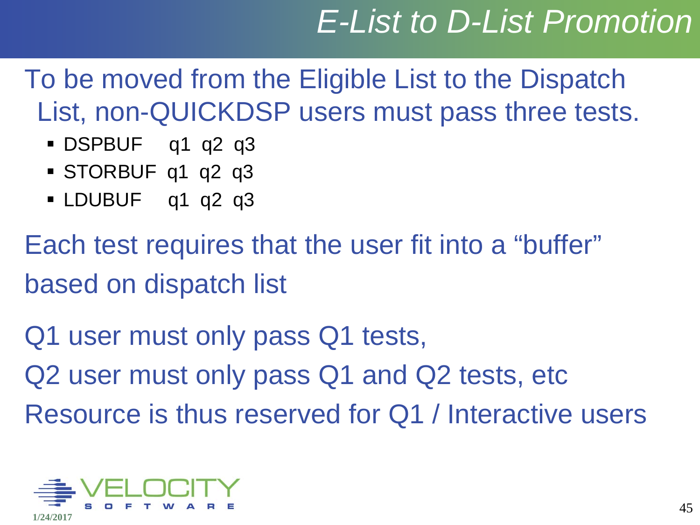# *E-List to D-List Promotion*

To be moved from the Eligible List to the Dispatch List, non-QUICKDSP users must pass three tests.

- DSPBUF q1 q2 q3
- STORBUF q1 q2 q3
- **LDUBUF** q1 q2 q3

Each test requires that the user fit into a "buffer" based on dispatch list

Q1 user must only pass Q1 tests, Q2 user must only pass Q1 and Q2 tests, etc Resource is thus reserved for Q1 / Interactive users

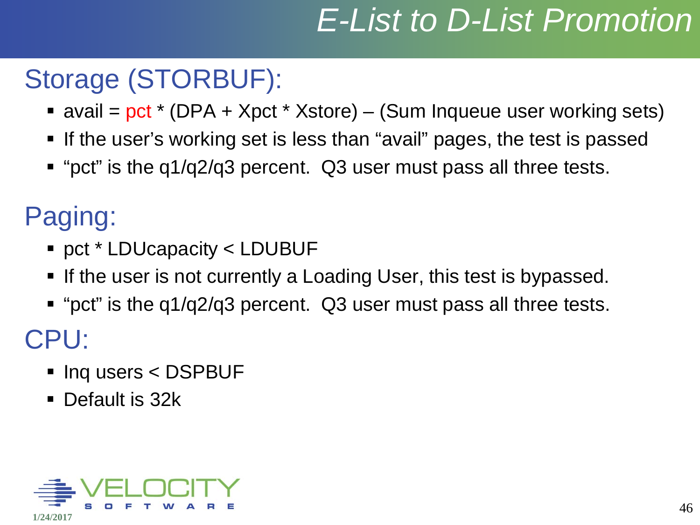# *E-List to D-List Promotion*

### Storage (STORBUF):

- avail =  $pct$  \* (DPA + Xpct \* Xstore) (Sum Inqueue user working sets)
- If the user's working set is less than "avail" pages, the test is passed
- "pct" is the q1/q2/q3 percent. Q3 user must pass all three tests.

Paging:

- pct \* LDUcapacity < LDUBUF
- **If the user is not currently a Loading User, this test is bypassed.**
- "pct" is the q1/q2/q3 percent. Q3 user must pass all three tests. CPU:
	- Inq users < DSPBUF
	- Default is 32k

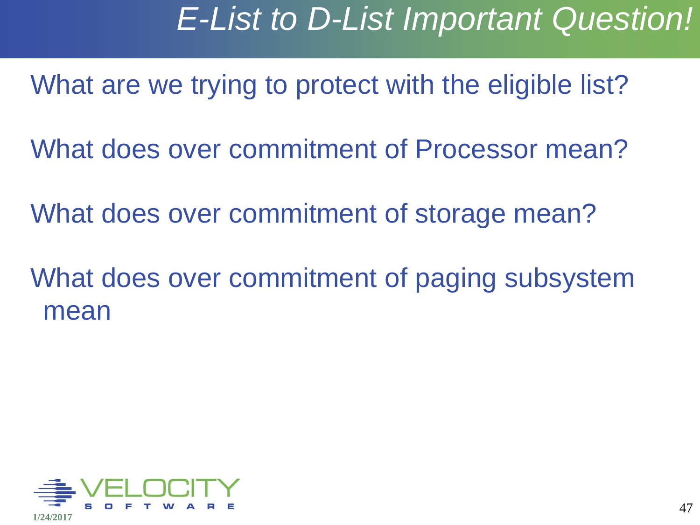### *E-List to D-List Important Question!*

What are we trying to protect with the eligible list?

What does over commitment of Processor mean?

What does over commitment of storage mean?

What does over commitment of paging subsystem mean

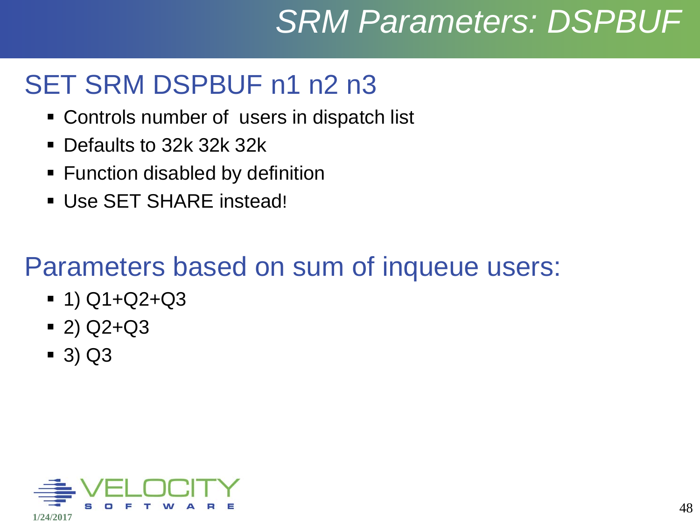# *SRM Parameters: DSPBUF*

#### SET SRM DSPBUF n1 n2 n3

- Controls number of users in dispatch list
- **Defaults to 32k 32k 32k**
- **Function disabled by definition**
- Use SET SHARE instead!

### Parameters based on sum of inqueue users:

- $-1)$  Q1+Q2+Q3
- $(2)$  Q2+Q3
- 3) Q3

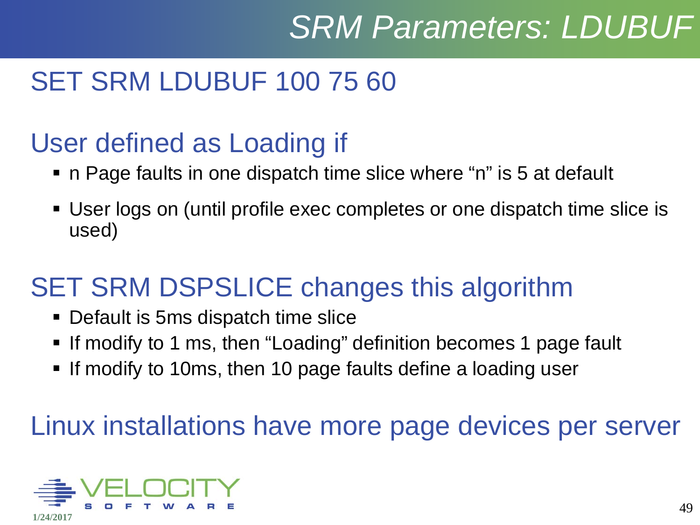# *SRM Parameters: LDUBUF*

### SET SRM LDUBUF 100 75 60

### User defined as Loading if

- n Page faults in one dispatch time slice where "n" is 5 at default
- User logs on (until profile exec completes or one dispatch time slice is used)

#### SET SRM DSPSLICE changes this algorithm

- Default is 5ms dispatch time slice
- If modify to 1 ms, then "Loading" definition becomes 1 page fault
- **If modify to 10ms, then 10 page faults define a loading user**

#### Linux installations have more page devices per server

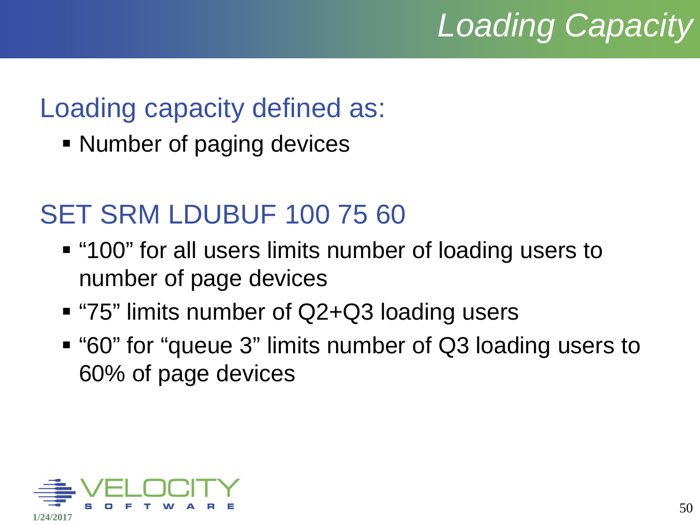# *Loading Capacity*

### Loading capacity defined as:

• Number of paging devices

### SET SRM LDUBUF 100 75 60

- "100" for all users limits number of loading users to number of page devices
- "75" limits number of Q2+Q3 loading users
- "60" for "queue 3" limits number of Q3 loading users to 60% of page devices

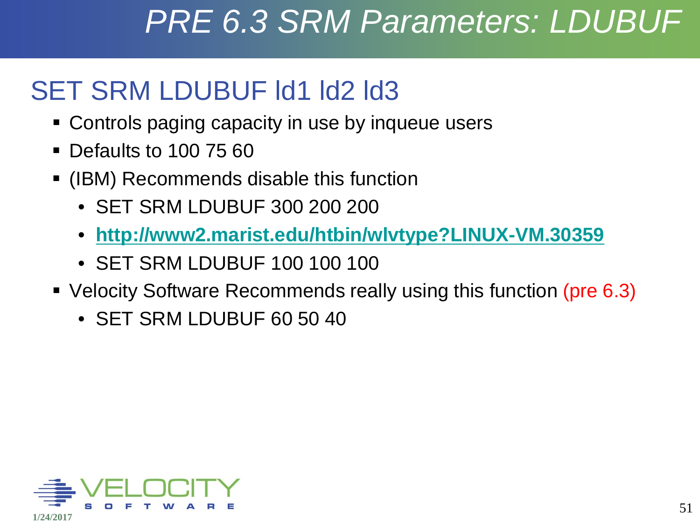### *PRE 6.3 SRM Parameters: LDUBUF*

### SET SRM LDUBUF Id1 Id2 Id3

- Controls paging capacity in use by inqueue users
- Defaults to 100 75 60
- (IBM) Recommends disable this function
	- SET SRM LDUBUF 300 200 200
	- **<http://www2.marist.edu/htbin/wlvtype?LINUX-VM.30359>**
	- SET SRM LDUBUF 100 100 100
- Velocity Software Recommends really using this function (pre 6.3)
	- SET SRM LDUBUF 60 50 40

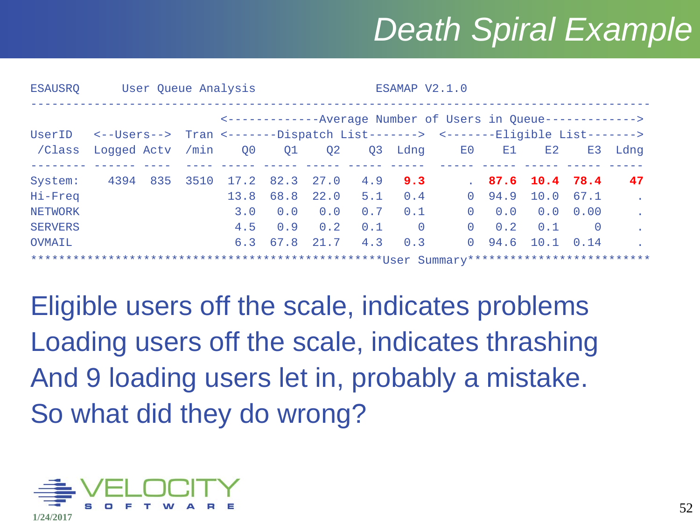# *Death Spiral Example*

| <b>ESAUSRO</b> | User Queue Analysis<br>ESAMAP V2.1.0 |     |      |                                                               |      |                      |     |                |               |                                                                                     |                    |                |         |
|----------------|--------------------------------------|-----|------|---------------------------------------------------------------|------|----------------------|-----|----------------|---------------|-------------------------------------------------------------------------------------|--------------------|----------------|---------|
|                |                                      |     |      | <--------------Average Number of Users in Queue-------------> |      |                      |     |                |               |                                                                                     |                    |                |         |
|                |                                      |     |      |                                                               |      |                      |     |                |               | UserID <--Users--> Tran <-------Dispatch List-------> <-------Eligible List-------> |                    |                |         |
| /Class         | Logged Actv /min 00                  |     |      |                                                               | Q1   | Q2                   |     |                | Q3 Ldng E0 E1 |                                                                                     | E2                 |                | E3 Ldng |
| System:        | 4394                                 | 835 | 3510 |                                                               |      | $17.2$ 82.3 27.0 4.9 |     | 9.3            |               |                                                                                     | 87.6 10.4 78.4     |                | 47      |
| Hi-Freq        |                                      |     |      | 13.8                                                          | 68.8 | 22.0                 | 5.1 | 0.4            |               | $0 \t94.9$                                                                          | $10.0$ 67.1        |                |         |
| <b>NETWORK</b> |                                      |     |      | 3.0                                                           | 0.0  | 0.0                  | 0.7 | 0.1            | $\Omega$      |                                                                                     | $0.0$ $0.0$ $0.00$ |                |         |
| <b>SERVERS</b> |                                      |     |      | 4.5                                                           | 0.9  | 0.2                  | 0.1 | $\overline{0}$ | $\Omega$      | 0.2                                                                                 | 0.1                | $\overline{0}$ |         |
| OVMAIL         |                                      |     |      |                                                               |      | 6.3 67.8 21.7        | 4.3 | 0.3            |               | $0\quad 94.6$                                                                       | $10.1 \quad 0.14$  |                |         |
|                |                                      |     |      |                                                               |      |                      |     |                |               |                                                                                     |                    |                |         |

Eligible users off the scale, indicates problems Loading users off the scale, indicates thrashing And 9 loading users let in, probably a mistake. So what did they do wrong?

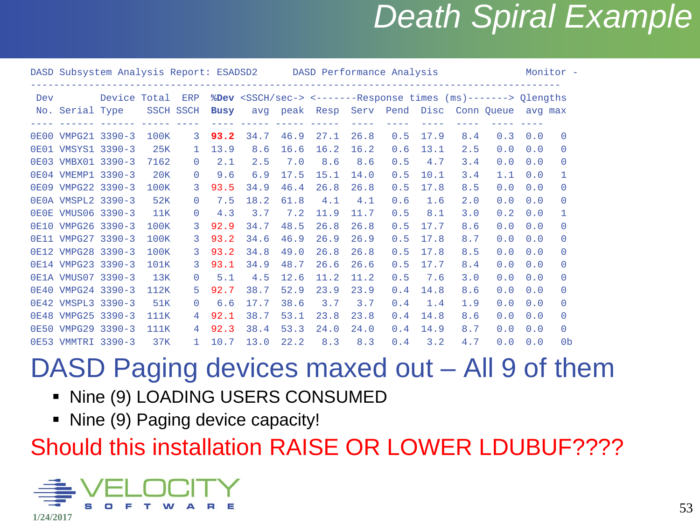### *Death Spiral Example*

|     | DASD Subsystem Analysis Report: ESADSD2 DASD Performance Analysis |              |                  |                |             |      |                                                                               |               |      |                |      |     |            |         | Monitor -      |  |
|-----|-------------------------------------------------------------------|--------------|------------------|----------------|-------------|------|-------------------------------------------------------------------------------|---------------|------|----------------|------|-----|------------|---------|----------------|--|
| Dev |                                                                   | Device Total |                  | ERP            |             |      | %Dev <ssch sec-=""> &lt;-------Response times (ms)-------&gt; Qlengths</ssch> |               |      |                |      |     |            |         |                |  |
|     | No. Serial Type                                                   |              | <b>SSCH SSCH</b> |                | <b>Busy</b> |      |                                                                               | avg peak Resp |      | Serv Pend Disc |      |     | Conn Oueue | avg max |                |  |
|     | 0E00 VMPG21 3390-3                                                |              | 100K             | 3              | 93.2        | 34.7 | 46.9                                                                          | 27.1          | 26.8 | 0.5            | 17.9 | 8.4 | 0.3        | 0.0     | $\Box$         |  |
|     | 0E01 VMSYS1 3390-3                                                |              | 25K              | $\mathbf{1}$   | 13.9        | 8.6  | 16.6                                                                          | 16.2          | 16.2 | 0.6            | 13.1 | 2.5 | 0.0        | 0.0     | $\Omega$       |  |
|     | 0E03 VMBX01 3390-3                                                |              | 7162             | $\Omega$       | 2.1         | 2.5  | 7.0                                                                           | 8.6           | 8.6  | 0.5            | 4.7  | 3.4 | 0.0        | 0.0     | $\Omega$       |  |
|     | 0E04 VMEMP1 3390-3                                                |              | 20K              | $\Omega$       | 9.6         | 6.9  | 17.5                                                                          | 15.1          | 14.0 | 0.5            | 10.1 | 3.4 | 1.1        | 0.0     |                |  |
|     | 0E09 VMPG22 3390-3                                                |              | 100K             | 3              | 93.5        | 34.9 | 46.4                                                                          | 26.8          | 26.8 | 0.5            | 17.8 | 8.5 | 0.0        | 0.0     | $\Omega$       |  |
|     | 0E0A VMSPL2 3390-3                                                |              | 52K              | $\Omega$       | 7.5         | 18.2 | 61.8                                                                          | 4.1           | 4.1  | 0.6            | 1.6  | 2.0 | 0.0        | 0.0     | $\Omega$       |  |
|     | 0E0E VMUS06 3390-3                                                |              | 11K              | $\Omega$       | 4.3         | 3.7  | 7.2                                                                           | 11.9          | 11.7 | 0.5            | 8.1  | 3.0 | 0.2        | 0.0     |                |  |
|     | 0E10 VMPG26 3390-3                                                |              | 100K             | 3              | 92.9        | 34.7 | 48.5                                                                          | 26.8          | 26.8 | 0.5            | 17.7 | 8.6 | 0.0        | 0.0     | $\Box$         |  |
|     | 0E11 VMPG27 3390-3                                                |              | 100K             | 3              | 93.2        | 34.6 | 46.9                                                                          | 26.9          | 26.9 | 0.5            | 17.8 | 8.7 | 0.0        | 0.0     | $\Omega$       |  |
|     | 0E12 VMPG28 3390-3                                                |              | 100K             | 3              | 93.2        | 34.8 | 49.0                                                                          | 26.8          | 26.8 | 0.5            | 17.8 | 8.5 | 0.0        | 0.0     | $\Omega$       |  |
|     | 0E14 VMPG23 3390-3                                                |              | 101K             | 3              | 93.1        | 34.9 | 48.7                                                                          | 26.6          | 26.6 | 0.5            | 17.7 | 8.4 | 0.0        | 0.0     | $\bigcap$      |  |
|     | 0E1A VMUS07 3390-3                                                |              | 13K              | $\Omega$       | 5.1         | 4.5  | 12.6                                                                          | 11.2          | 11.2 | 0.5            | 7.6  | 3.0 | 0.0        | 0.0     | $\Omega$       |  |
|     | 0E40 VMPG24 3390-3                                                |              | 112K             | 5.             | 92.7        | 38.7 | 52.9                                                                          | 23.9          | 23.9 | 0.4            | 14.8 | 8.6 | 0.0        | 0.0     | $\Omega$       |  |
|     | 0E42 VMSPL3 3390-3                                                |              | 51K              | $\Omega$       | 6.6         | 17.7 | 38.6                                                                          | 3.7           | 3.7  | 0.4            | 1.4  | 1.9 | 0.0        | 0.0     | $\Box$         |  |
|     | 0E48 VMPG25 3390-3                                                |              | 111K             | $\overline{4}$ | 92.1        | 38.7 | 53.1                                                                          | 23.8          | 23.8 | 0.4            | 14.8 | 8.6 | 0.0        | 0.0     | $\Omega$       |  |
|     | 0E50 VMPG29 3390-3                                                |              | 111K             | 4              | 92.3        | 38.4 | 53.3                                                                          | 24.0          | 24.0 | 0.4            | 14.9 | 8.7 | 0.0        | 0.0     | $\Omega$       |  |
|     | 0E53 VMMTRI 3390-3                                                |              | 37K              | $\mathbf{1}$   | 10.7        | 13.0 | 22.2                                                                          | 8.3           | 8.3  | 0.4            | 3.2  | 4.7 | 0.0        | 0.0     | 0 <sub>b</sub> |  |

#### DASD Paging devices maxed out – All 9 of them

- **Nine (9) LOADING USERS CONSUMED**
- Nine (9) Paging device capacity!

#### Should this installation RAISE OR LOWER LDUBUF????

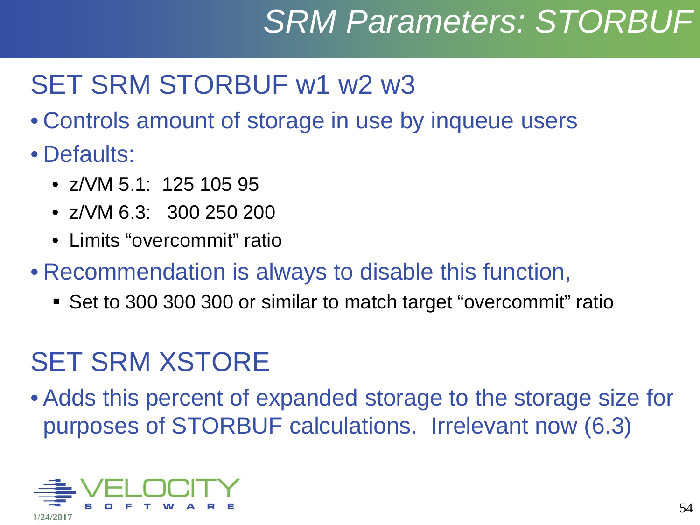# *SRM Parameters: STORBUF*

### SET SRM STORBUF w1 w2 w3

- Controls amount of storage in use by inqueue users
- Defaults:
	- $7/NM$  5.1: 125 105 95
	- z/VM 6.3: 300 250 200
	- Limits "overcommit" ratio
- Recommendation is always to disable this function,
	- Set to 300 300 300 or similar to match target "overcommit" ratio

### SET SRM XSTORE

• Adds this percent of expanded storage to the storage size for purposes of STORBUF calculations. Irrelevant now (6.3)

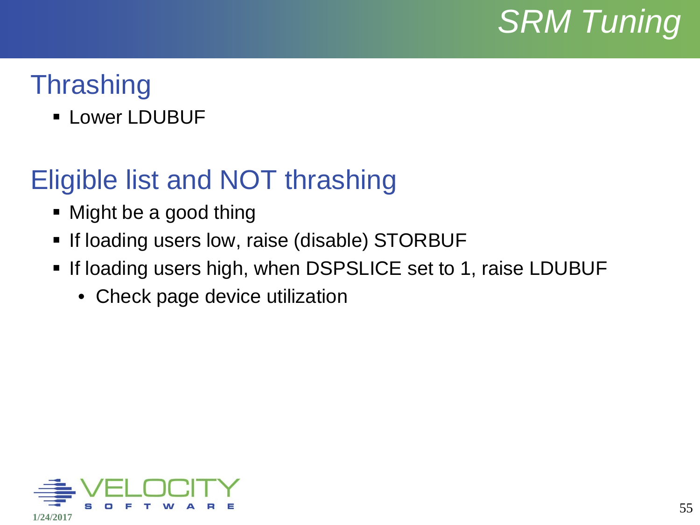

### **Thrashing**

**E** Lower LDUBUF

#### Eligible list and NOT thrashing

- Might be a good thing
- **If loading users low, raise (disable) STORBUF**
- **If loading users high, when DSPSLICE set to 1, raise LDUBUF** 
	- Check page device utilization

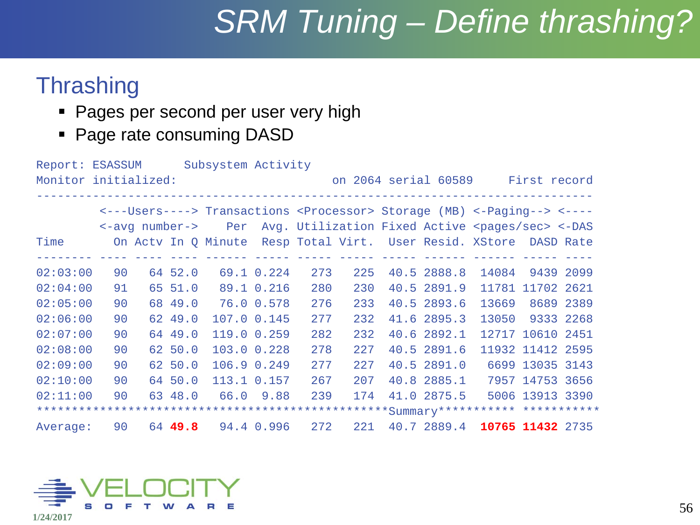# *SRM Tuning – Define thrashing?*

#### **Thrashing**

- **Pages per second per user very high**
- Page rate consuming DASD

| Report: ESASSUM                                              |    |  |                           | Subsystem Activity                                                |               |     |     |  |             |                                                                                             |                  |  |
|--------------------------------------------------------------|----|--|---------------------------|-------------------------------------------------------------------|---------------|-----|-----|--|-------------|---------------------------------------------------------------------------------------------|------------------|--|
| Monitor initialized:<br>on 2064 serial 60589<br>First record |    |  |                           |                                                                   |               |     |     |  |             |                                                                                             |                  |  |
|                                                              |    |  |                           |                                                                   |               |     |     |  |             |                                                                                             |                  |  |
|                                                              |    |  |                           |                                                                   |               |     |     |  |             | <---Users----> Transactions <processor> Storage (MB) &lt;-Paging--&gt; &lt;----</processor> |                  |  |
|                                                              |    |  | $\leftarrow$ avg number-> | Per                                                               |               |     |     |  |             | Avg. Utilization Fixed Active <pages sec=""> &lt;- DAS</pages>                              |                  |  |
| Time                                                         |    |  |                           | On Acty In Q Minute Resp Total Virt. User Resid. XStore DASD Rate |               |     |     |  |             |                                                                                             |                  |  |
|                                                              |    |  |                           |                                                                   | ------------- |     |     |  |             |                                                                                             |                  |  |
| 02:03:00                                                     | 90 |  | 64 52.0                   |                                                                   | 69.1 0.224    | 273 | 225 |  | 40.5 2888.8 | 14084                                                                                       | 9439 2099        |  |
| 02:04:00                                                     | 91 |  | 65 51.0                   |                                                                   | 89.1 0.216    | 280 | 230 |  | 40.5 2891.9 |                                                                                             | 11781 11702 2621 |  |
| 02:05:00                                                     | 90 |  | 68 49.0                   |                                                                   | 76.0 0.578    | 276 | 233 |  | 40.5 2893.6 | 13669                                                                                       | 8689 2389        |  |
| 02:06:00                                                     | 90 |  | 62 49.0                   | 107.0 0.145                                                       |               | 277 | 232 |  | 41.6 2895.3 | 13050                                                                                       | 9333 2268        |  |
| 02:07:00                                                     | 90 |  | 64 49.0                   | 119.0 0.259                                                       |               | 282 | 232 |  | 40.6 2892.1 |                                                                                             | 12717 10610 2451 |  |
| 02:08:00                                                     | 90 |  | 62 50.0                   | 103.0 0.228                                                       |               | 278 | 227 |  | 40.5 2891.6 |                                                                                             | 11932 11412 2595 |  |
| 02:09:00                                                     | 90 |  | 62 50.0                   | 106.9 0.249                                                       |               | 277 | 227 |  | 40.5 2891.0 |                                                                                             | 6699 13035 3143  |  |
| 02:10:00                                                     | 90 |  | 64 50.0                   | 113.1 0.157                                                       |               | 267 | 207 |  | 40.8 2885.1 |                                                                                             | 7957 14753 3656  |  |
| 02:11:00                                                     | 90 |  | 63 48.0                   |                                                                   | 66.0 9.88     | 239 | 174 |  | 41.0 2875.5 |                                                                                             | 5006 13913 3390  |  |
|                                                              |    |  |                           |                                                                   |               |     |     |  |             |                                                                                             |                  |  |
| Average:                                                     | 90 |  | 64 49.8                   |                                                                   | 94.4 0.996    | 272 | 221 |  | 40.7 2889.4 |                                                                                             | 10765 11432 2735 |  |

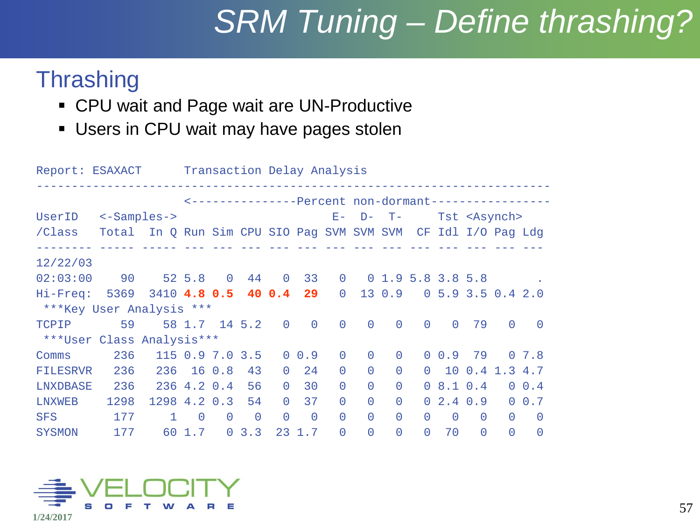# *SRM Tuning – Define thrashing?*

#### **Thrashing**

- CPU wait and Page wait are UN-Productive
- Users in CPU wait may have pages stolen

Report: ESAXACT Transaction Delay Analysis ------------------------------------------------------------------------- <---------------Percent non-dormant----------------- UserID <-Samples->  $E-P-T-$  Tst <Asynch> /Class Total In Q Run Sim CPU SIO Pag SVM SVM SVM CF Idl I/O Pag Ldg -------- ----- ----- --- --- --- --- --- --- --- --- --- --- --- --- --- 12/22/03 02:03:00 90 52 5.8 0 44 0 33 0 0 1.9 5.8 3.8 5.8 . Hi-Freq: 5369 3410 **4.8 0.5 40 0.4 29** 0 13 0.9 0 5.9 3.5 0.4 2.0 \*\*\*Key User Analysis \*\*\* TCPIP 59 58 1.7 14 5.2 0 0 0 0 0 0 0 79 0 0 \*\*\*User Class Analysis\*\*\* Comms 236 115 0.9 7.0 3.5 0 0.9 0 0 0 0 0.9 79 0 7.8 FILESRVR 236 236 16 0.8 43 0 24 0 0 0 0 10 0.4 1.3 4.7 LNXDBASE 236 236 4.2 0.4 56 0 30 0 0 0 0 8.1 0.4 0 0.4 LNXWEB 1298 1298 4.2 0.3 54 0 37 0 0 0 0 2.4 0.9 0 0.7 SFS 177 1 0 0 0 0 0 0 0 0 0 0 0 0 0 SYSMON 177 60 1.7 0 3.3 23 1.7 0 0 0 0 70 0 0 0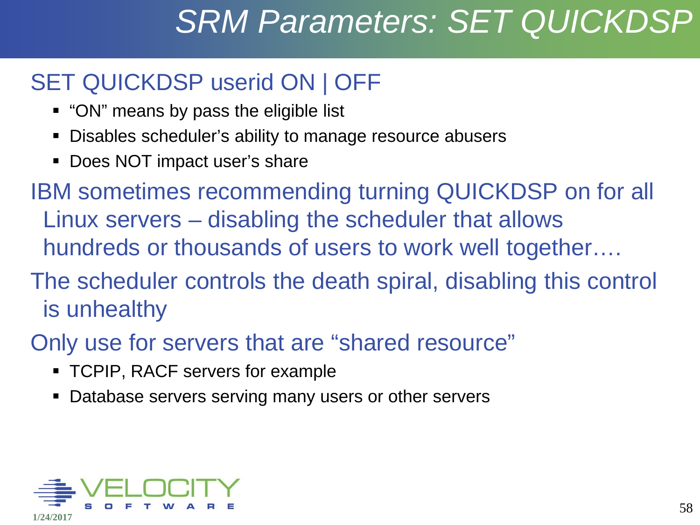## *SRM Parameters: SET QUICKDSP*

#### SET QUICKDSP userid ON | OFF

- "ON" means by pass the eligible list
- Disables scheduler's ability to manage resource abusers
- **Does NOT impact user's share**

IBM sometimes recommending turning QUICKDSP on for all Linux servers – disabling the scheduler that allows hundreds or thousands of users to work well together….

- The scheduler controls the death spiral, disabling this control is unhealthy
- Only use for servers that are "shared resource"
	- TCPIP, RACF servers for example
	- Database servers serving many users or other servers

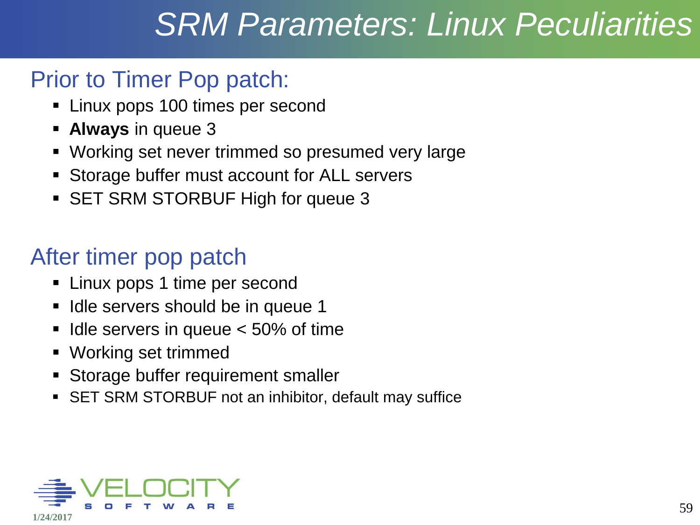# *SRM Parameters: Linux Peculiarities*

#### Prior to Timer Pop patch:

- **EXECT:** Linux pops 100 times per second
- **Always** in queue 3
- Working set never trimmed so presumed very large
- **Storage buffer must account for ALL servers**
- **SET SRM STORBUF High for queue 3**

#### After timer pop patch

- **-** Linux pops 1 time per second
- Idle servers should be in queue 1
- Idle servers in queue < 50% of time
- Working set trimmed
- **Storage buffer requirement smaller**
- SET SRM STORBUF not an inhibitor, default may suffice

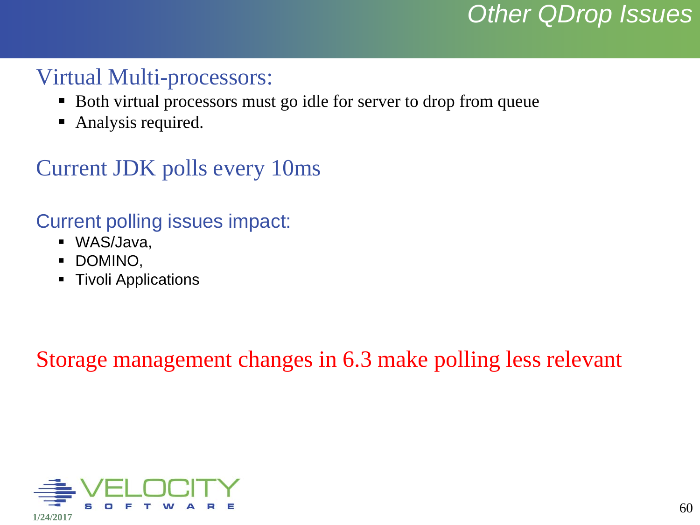#### *Other QDrop Issues*

#### Virtual Multi-processors:

- Both virtual processors must go idle for server to drop from queue
- Analysis required.

#### Current JDK polls every 10ms

#### Current polling issues impact:

- WAS/Java,
- **DOMINO,**
- **Tivoli Applications**

Storage management changes in 6.3 make polling less relevant

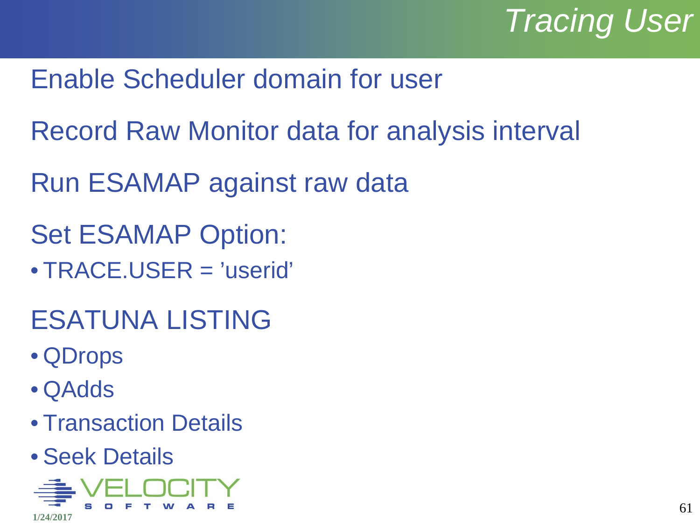# *Tracing User*

- Enable Scheduler domain for user
- Record Raw Monitor data for analysis interval
- Run ESAMAP against raw data
- Set ESAMAP Option:
- TRACE.USER = 'userid'
- ESATUNA LISTING
- QDrops
- QAdds
- Transaction Details
- Seek Details

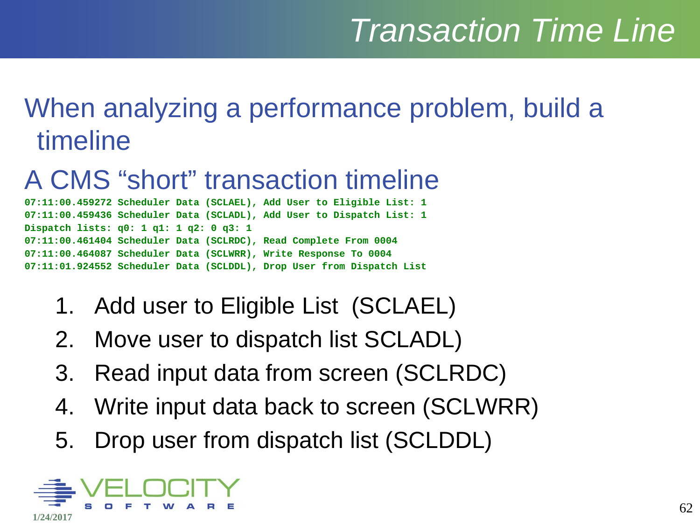# *Transaction Time Line*

### When analyzing a performance problem, build a timeline

#### A CMS "short" transaction timeline

**07:11:00.459272 Scheduler Data (SCLAEL), Add User to Eligible List: 1 07:11:00.459436 Scheduler Data (SCLADL), Add User to Dispatch List: 1 Dispatch lists: q0: 1 q1: 1 q2: 0 q3: 1 07:11:00.461404 Scheduler Data (SCLRDC), Read Complete From 0004 07:11:00.464087 Scheduler Data (SCLWRR), Write Response To 0004 07:11:01.924552 Scheduler Data (SCLDDL), Drop User from Dispatch List**

- 1. Add user to Eligible List (SCLAEL)
- 2. Move user to dispatch list SCLADL)
- 3. Read input data from screen (SCLRDC)
- 4. Write input data back to screen (SCLWRR)
- 5. Drop user from dispatch list (SCLDDL)

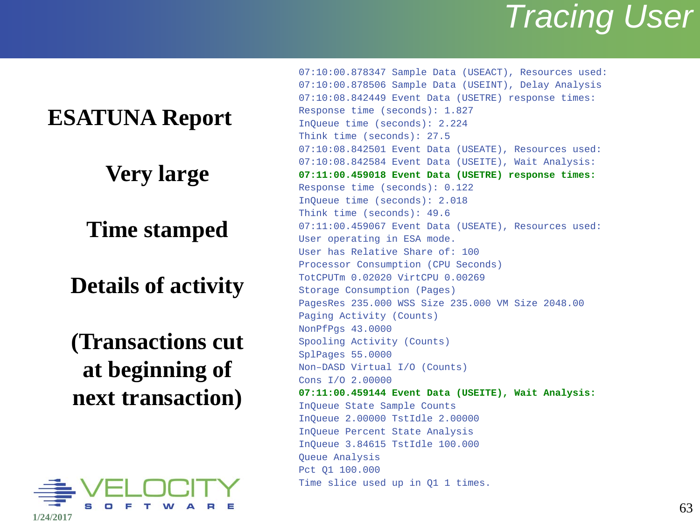### *Tracing User*

#### **ESATUNA Report**

#### **Very large**

#### **Time stamped**

#### **Details of activity**

#### **(Transactions cut at beginning of next transaction)**



07:10:00.878347 Sample Data (USEACT), Resources used: 07:10:00.878506 Sample Data (USEINT), Delay Analysis 07:10:08.842449 Event Data (USETRE) response times: Response time (seconds): 1.827 InQueue time (seconds): 2.224 Think time (seconds): 27.5 07:10:08.842501 Event Data (USEATE), Resources used: 07:10:08.842584 Event Data (USEITE), Wait Analysis: **07:11:00.459018 Event Data (USETRE) response times:** Response time (seconds): 0.122 InQueue time (seconds): 2.018 Think time (seconds): 49.6 07:11:00.459067 Event Data (USEATE), Resources used: User operating in ESA mode. User has Relative Share of: 100 Processor Consumption (CPU Seconds) TotCPUTm 0.02020 VirtCPU 0.00269 Storage Consumption (Pages) PagesRes 235.000 WSS Size 235.000 VM Size 2048.00 Paging Activity (Counts) NonPfPgs 43.0000 Spooling Activity (Counts) SplPages 55.0000 Non–DASD Virtual I/O (Counts) Cons I/O 2.00000 **07:11:00.459144 Event Data (USEITE), Wait Analysis:** InQueue State Sample Counts InQueue 2.00000 TstIdle 2.00000 InQueue Percent State Analysis InQueue 3.84615 TstIdle 100.000 Queue Analysis Pct Q1 100.000 Time slice used up in Q1 1 times.